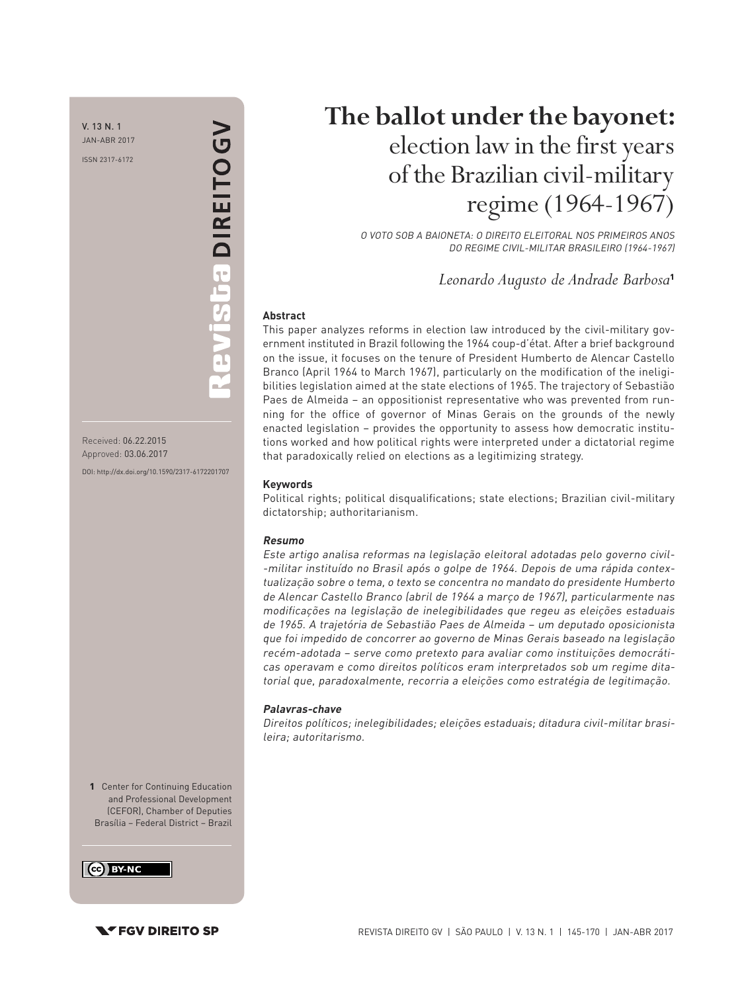V. 13 N. 1 JAN-ABR 2017

## ISSN 2317-6172

Revista DIREITOGV

Received: 06.22.2015 Approved: 03.06.2017 DOI: http://dx.doi.org/10.1590/2317-6172201707

1 Center for Continuing Education and Professional Development (CEFOR), Chamber of Deputies Brasília – Federal District – Brazil

 $\vert$  (cc) BY-NC

# **The ballot under the bayonet:** election lawin the first years of the Brazilian civil-military regime (1964-1967)

*O VOTO SOB A BAIONETA: O DIREITO ELEITORAL NOS PRIMEIROS ANOS DO REGIME CIVIL-MILITAR BRASILEIRO (1964-1967)*

*Leonardo Augusto de Andrade Barbosa*<sup>1</sup>

## **Abstract**

This paper analyzes reforms in election law introduced by the civil-military government instituted in Brazil following the 1964 coup-d'état. After a brief background on the issue, it focuses on the tenure of President Humberto de Alencar Castello Branco (April 1964 to March 1967), particularly on the modification of the ineligibilities legislation aimed at the state elections of 1965. The trajectory of Sebastião Paes de Almeida – an oppositionist representative who was prevented from running for the office of governor of Minas Gerais on the grounds of the newly enacted legislation – provides the opportunity to assess how democratic institutions worked and how political rights were interpreted under a dictatorial regime that paradoxically relied on elections as a legitimizing strategy.

## **Keywords**

Political rights; political disqualifications; state elections; Brazilian civil-military dictatorship; authoritarianism.

## *Resumo*

*Este artigo analisa reformas na legislação eleitoral adotadas pelo governo civil- -militar instituído no Brasil após o golpe de 1964. Depois de uma rápida contextualização sobre o tema, o texto se concentra no mandato do presidente Humberto de Alencar Castello Branco (abril de 1964 a março de 1967), particularmente nas modificações na legislação de inelegibilidades que regeu as eleições estaduais de 1965. A trajetória de Sebastião Paes de Almeida – um deputado oposicionista que foi impedido de concorrer ao governo de Minas Gerais baseado na legislação recém-adotada – serve como pretexto para avaliar como instituições democráticas operavam e como direitos políticos eram interpretados sob um regime ditatorial que, paradoxalmente, recorria a eleições como estratégia de legitimação.*

## *Palavras-chave*

*Direitos políticos; inelegibilidades; eleições estaduais; ditadura civil-militar brasileira; autoritarismo.*

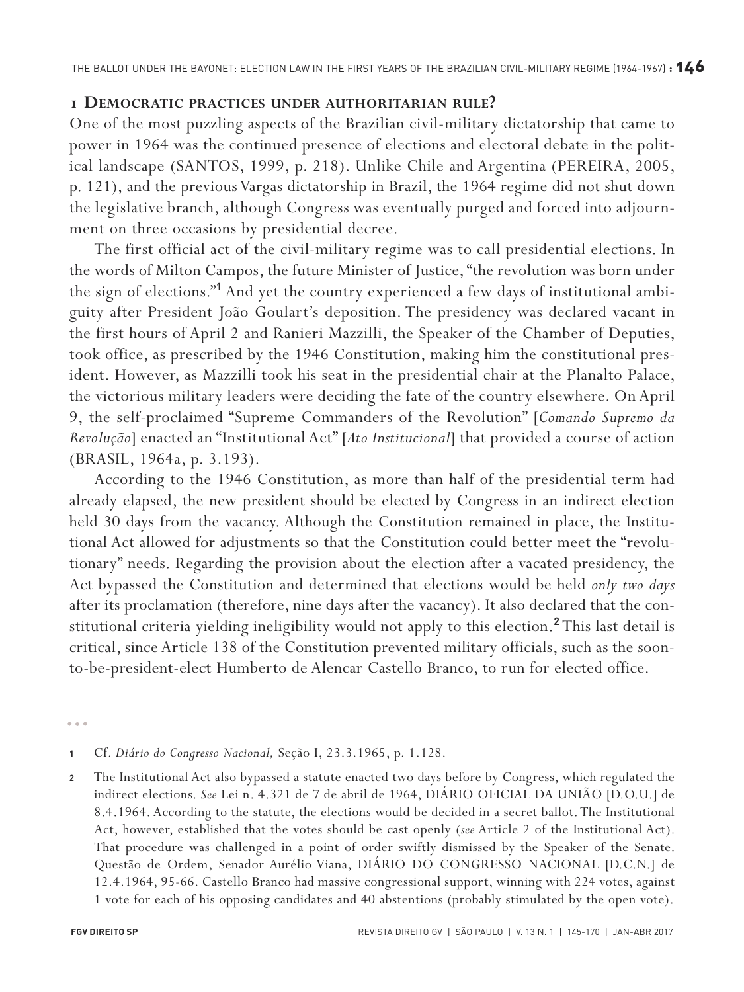# **1 DEMOCRATIC PRACTICES UNDER AUTHORITARIAN RULE?**

One of the most puzzling aspects of the Brazilian civil-military dictatorship that came to power in 1964 was the continued presence of elections and electoral debate in the political landscape (SANTOS, 1999, p. 218). Unlike Chile and Argentina (PEREIRA, 2005, p. 121), and the previous Vargas dictatorship in Brazil, the 1964 regime did not shut down the legislative branch, although Congress was eventually purged and forced into adjournment on three occasions by presidential decree.

The first official act of the civil-military regime was to call presidential elections. In the words of Milton Campos, the future Minister of Justice, "the revolution was born under the sign of elections."**<sup>1</sup>** And yet the country experienced a few days of institutional ambiguity after President João Goulart's deposition. The presidency was declared vacant in the first hours of April 2 and Ranieri Mazzilli, the Speaker of the Chamber of Deputies, took office, as prescribed by the 1946 Constitution, making him the constitutional president. However, as Mazzilli took his seat in the presidential chair at the Planalto Palace, the victorious military leaders were deciding the fate of the country elsewhere. On April 9, the self-proclaimed "Supreme Commanders of the Revolution" [*Comando Supremo da Revolução*] enacted an "Institutional Act" [*Ato Institucional*] that provided a course of action (BRASIL, 1964a, p. 3.193).

According to the 1946 Constitution, as more than half of the presidential term had already elapsed, the new president should be elected by Congress in an indirect election held 30 days from the vacancy. Although the Constitution remained in place, the Institutional Act allowed for adjustments so that the Constitution could better meet the "revolutionary" needs. Regarding the provision about the election after a vacated presidency, the Act bypassed the Constitution and determined that elections would be held *only two days* after its proclamation (therefore, nine days after the vacancy). It also declared that the constitutional criteria yielding ineligibility would not apply to this election. **<sup>2</sup>** This last detail is critical, since Article 138 of the Constitution prevented military officials, such as the soonto-be-president-elect Humberto de Alencar Castello Branco, to run for elected office.

**<sup>1</sup>** Cf. *Diário do Congresso Nacional,* Seção I, 23.3.1965, p. 1.128.

**<sup>2</sup>** The Institutional Act also bypassed a statute enacted two days before by Congress, which regulated the indirect elections. *See* Lei n. 4.321 de 7 de abril de 1964, DIÁRIO OFICIAL DA UNIÃO [D.O.U.] de 8.4.1964. According to the statute, the elections would be decided in a secret ballot.The Institutional Act, however, established that the votes should be cast openly (*see* Article 2 of the Institutional Act). That procedure was challenged in a point of order swiftly dismissed by the Speaker of the Senate. Questão de Ordem, Senador Aurélio Viana, DIÁRIO DO CONGRESSO NACIONAL [D.C.N.] de 12.4.1964, 95-66. Castello Branco had massive congressional support, winning with 224 votes, against 1 vote for each of his opposing candidates and 40 abstentions (probably stimulated by the open vote).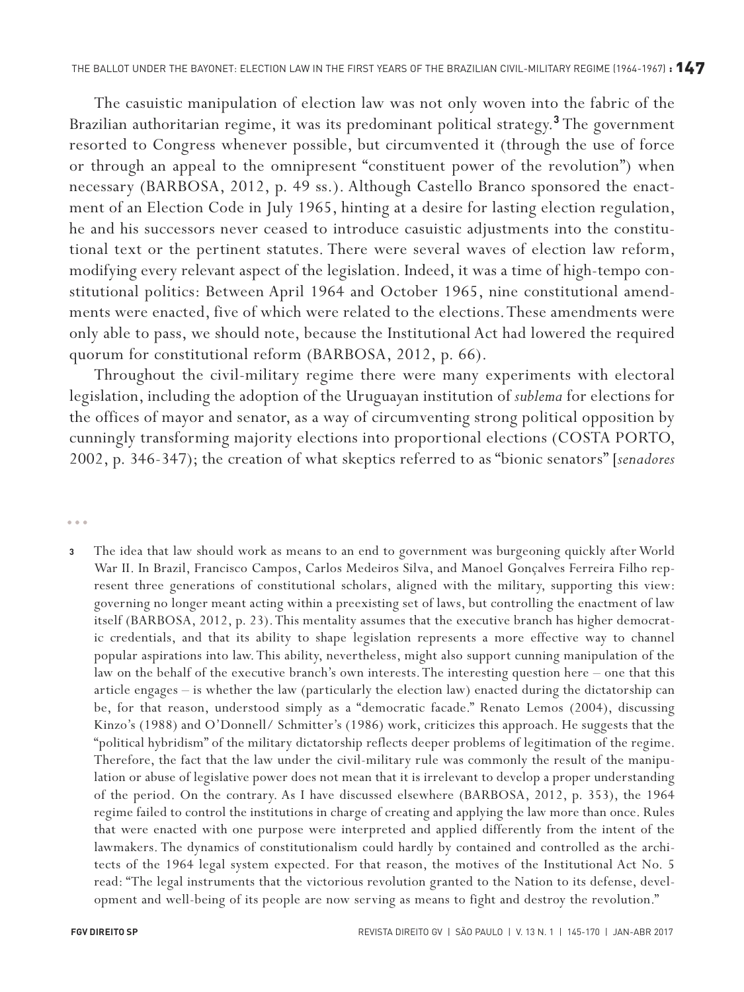The casuistic manipulation of election law was not only woven into the fabric of the Brazilian authoritarian regime, it was its predominant political strategy. **<sup>3</sup>** The government resorted to Congress whenever possible, but circumvented it (through the use of force or through an appeal to the omnipresent "constituent power of the revolution") when necessary (BARBOSA, 2012, p. 49 ss.). Although Castello Branco sponsored the enactment of an Election Code in July 1965, hinting at a desire for lasting election regulation, he and his successors never ceased to introduce casuistic adjustments into the constitutional text or the pertinent statutes. There were several waves of election law reform, modifying every relevant aspect of the legislation. Indeed, it was a time of high-tempo constitutional politics: Between April 1964 and October 1965, nine constitutional amendments were enacted, five of which were related to the elections.These amendments were only able to pass, we should note, because the Institutional Act had lowered the required quorum for constitutional reform (BARBOSA, 2012, p. 66).

Throughout the civil-military regime there were many experiments with electoral legislation, including the adoption of the Uruguayan institution of *sublema* for elections for the offices of mayor and senator, as a way of circumventing strong political opposition by cunningly transforming majority elections into proportional elections (COSTA PORTO, 2002, p. 346-347); the creation of what skeptics referred to as "bionic senators" [*senadores*

**<sup>3</sup>** The idea that law should work as means to an end to government was burgeoning quickly after World War II. In Brazil, Francisco Campos, Carlos Medeiros Silva, and Manoel Gonçalves Ferreira Filho represent three generations of constitutional scholars, aligned with the military, supporting this view: governing no longer meant acting within a preexisting set of laws, but controlling the enactment of law itself (BARBOSA, 2012, p. 23).This mentality assumes that the executive branch has higher democratic credentials, and that its ability to shape legislation represents a more effective way to channel popular aspirations into law.This ability, nevertheless, might also support cunning manipulation of the law on the behalf of the executive branch's own interests.The interesting question here – one that this article engages – is whether the law (particularly the election law) enacted during the dictatorship can be, for that reason, understood simply as a "democratic facade." Renato Lemos (2004), discussing Kinzo's (1988) and O'Donnell/ Schmitter's (1986) work, criticizes this approach. He suggests that the "political hybridism" of the military dictatorship reflects deeper problems of legitimation of the regime. Therefore, the fact that the law under the civil-military rule was commonly the result of the manipulation or abuse of legislative power does not mean that it is irrelevant to develop a proper understanding of the period. On the contrary. As I have discussed elsewhere (BARBOSA, 2012, p. 353), the 1964 regime failed to control the institutions in charge of creating and applying the law more than once. Rules that were enacted with one purpose were interpreted and applied differently from the intent of the lawmakers. The dynamics of constitutionalism could hardly by contained and controlled as the architects of the 1964 legal system expected. For that reason, the motives of the Institutional Act No. 5 read: "The legal instruments that the victorious revolution granted to the Nation to its defense, development and well-being of its people are now serving as means to fight and destroy the revolution."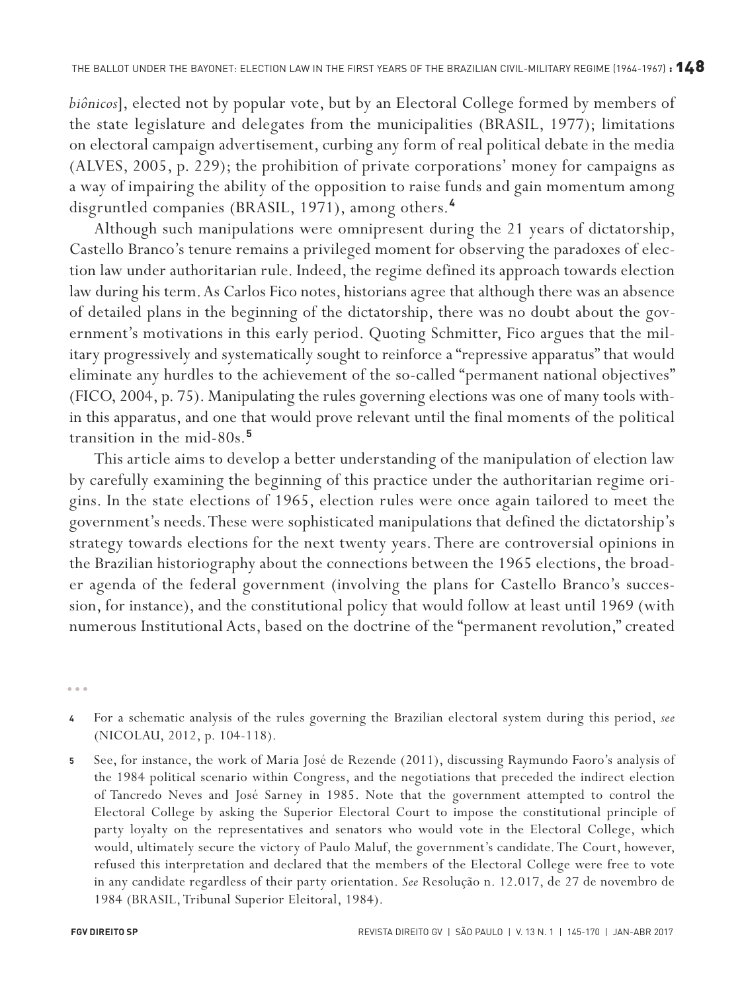*biônicos*], elected not by popular vote, but by an Electoral College formed by members of the state legislature and delegates from the municipalities (BRASIL, 1977); limitations on electoral campaign advertisement, curbing any form of real political debate in the media (ALVES, 2005, p. 229); the prohibition of private corporations' money for campaigns as a way of impairing the ability of the opposition to raise funds and gain momentum among disgruntled companies (BRASIL, 1971), among others. **4**

Although such manipulations were omnipresent during the 21 years of dictatorship, Castello Branco's tenure remains a privileged moment for observing the paradoxes of election law under authoritarian rule. Indeed, the regime defined its approach towards election law during his term.As Carlos Fico notes, historians agree that although there was an absence of detailed plans in the beginning of the dictatorship, there was no doubt about the government's motivations in this early period. Quoting Schmitter, Fico argues that the military progressively and systematically sought to reinforce a "repressive apparatus" that would eliminate any hurdles to the achievement of the so-called "permanent national objectives" (FICO, 2004, p. 75). Manipulating the rules governing elections was one of many tools within this apparatus, and one that would prove relevant until the final moments of the political transition in the mid-80s. **5**

This article aims to develop a better understanding of the manipulation of election law by carefully examining the beginning of this practice under the authoritarian regime origins. In the state elections of 1965, election rules were once again tailored to meet the government's needs.These were sophisticated manipulations that defined the dictatorship's strategy towards elections for the next twenty years.There are controversial opinions in the Brazilian historiography about the connections between the 1965 elections, the broader agenda of the federal government (involving the plans for Castello Branco's succession, for instance), and the constitutional policy that would follow at least until 1969 (with numerous Institutional Acts, based on the doctrine of the "permanent revolution," created

 $0.01$ 

**<sup>4</sup>** For a schematic analysis of the rules governing the Brazilian electoral system during this period, *see* (NICOLAU, 2012, p. 104-118).

**<sup>5</sup>** See, for instance, the work of Maria José de Rezende (2011), discussing Raymundo Faoro's analysis of the 1984 political scenario within Congress, and the negotiations that preceded the indirect election of Tancredo Neves and José Sarney in 1985. Note that the government attempted to control the Electoral College by asking the Superior Electoral Court to impose the constitutional principle of party loyalty on the representatives and senators who would vote in the Electoral College, which would, ultimately secure the victory of Paulo Maluf, the government's candidate.The Court, however, refused this interpretation and declared that the members of the Electoral College were free to vote in any candidate regardless of their party orientation. *See* Resolução n. 12.017, de 27 de novembro de 1984 (BRASIL, Tribunal Superior Eleitoral, 1984).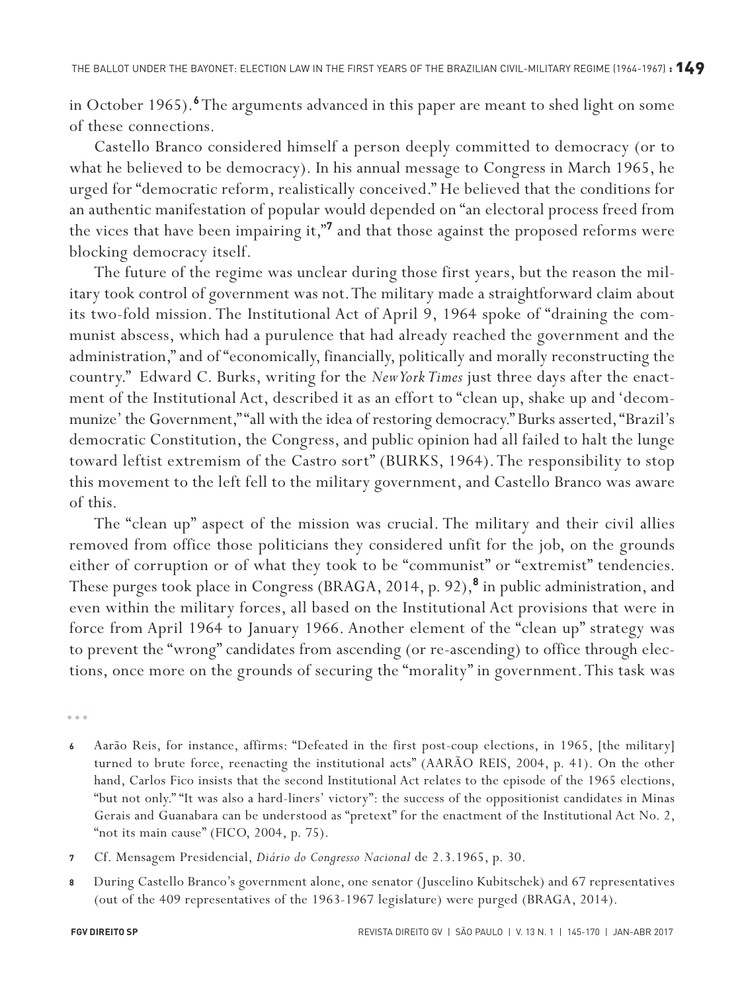in October 1965). **<sup>6</sup>**The arguments advanced in this paper are meant to shed light on some of these connections.

Castello Branco considered himself a person deeply committed to democracy (or to what he believed to be democracy). In his annual message to Congress in March 1965, he urged for "democratic reform, realistically conceived." He believed that the conditions for an authentic manifestation of popular would depended on "an electoral process freed from the vices that have been impairing it,"**<sup>7</sup>** and that those against the proposed reforms were blocking democracy itself.

The future of the regime was unclear during those first years, but the reason the military took control of government was not.The military made a straightforward claim about its two-fold mission. The Institutional Act of April 9, 1964 spoke of "draining the communist abscess, which had a purulence that had already reached the government and the administration," and of "economically, financially, politically and morally reconstructing the country." Edward C. Burks, writing for the *NewYork Times* just three days after the enactment of the Institutional Act, described it as an effort to "clean up, shake up and 'decommunize' the Government,""all with the idea of restoring democracy." Burks asserted, "Brazil's democratic Constitution, the Congress, and public opinion had all failed to halt the lunge toward leftist extremism of the Castro sort" (BURKS, 1964).The responsibility to stop this movement to the left fell to the military government, and Castello Branco was aware of this.

The "clean up" aspect of the mission was crucial. The military and their civil allies removed from office those politicians they considered unfit for the job, on the grounds either of corruption or of what they took to be "communist" or "extremist" tendencies. These purges took place in Congress (BRAGA, 2014, p. 92), **<sup>8</sup>** in public administration, and even within the military forces, all based on the Institutional Act provisions that were in force from April 1964 to January 1966. Another element of the "clean up" strategy was to prevent the "wrong" candidates from ascending (or re-ascending) to office through elections, once more on the grounds of securing the "morality" in government.This task was

 $\bullet$   $\bullet$   $\bullet$ 

**<sup>6</sup>** Aarão Reis, for instance, affirms: "Defeated in the first post-coup elections, in 1965, [the military] turned to brute force, reenacting the institutional acts" (AARÃO REIS, 2004, p. 41). On the other hand, Carlos Fico insists that the second Institutional Act relates to the episode of the 1965 elections, "but not only." "It was also a hard-liners' victory": the success of the oppositionist candidates in Minas Gerais and Guanabara can be understood as "pretext" for the enactment of the Institutional Act No. 2, "not its main cause" (FICO, 2004, p. 75).

**<sup>7</sup>** Cf. Mensagem Presidencial, *Diário do Congresso Nacional* de 2.3.1965, p. 30.

**<sup>8</sup>** During Castello Branco's government alone, one senator (Juscelino Kubitschek) and 67 representatives (out of the 409 representatives of the 1963-1967 legislature) were purged (BRAGA, 2014).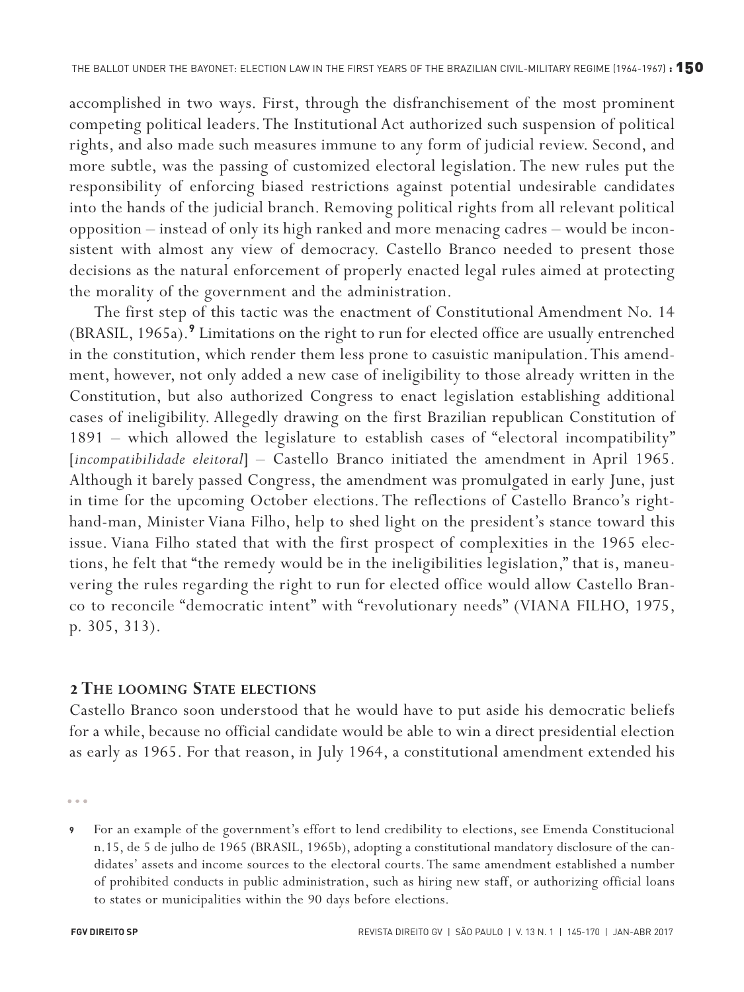accomplished in two ways. First, through the disfranchisement of the most prominent competing political leaders.The Institutional Act authorized such suspension of political rights, and also made such measures immune to any form of judicial review. Second, and more subtle, was the passing of customized electoral legislation. The new rules put the responsibility of enforcing biased restrictions against potential undesirable candidates into the hands of the judicial branch. Removing political rights from all relevant political opposition – instead of only its high ranked and more menacing cadres – would be inconsistent with almost any view of democracy. Castello Branco needed to present those decisions as the natural enforcement of properly enacted legal rules aimed at protecting the morality of the government and the administration.

The first step of this tactic was the enactment of Constitutional Amendment No. 14 (BRASIL, 1965a). **<sup>9</sup>** Limitations on the right to run for elected office are usually entrenched in the constitution, which render them less prone to casuistic manipulation.This amendment, however, not only added a new case of ineligibility to those already written in the Constitution, but also authorized Congress to enact legislation establishing additional cases of ineligibility. Allegedly drawing on the first Brazilian republican Constitution of 1891 – which allowed the legislature to establish cases of "electoral incompatibility" [*incompatibilidade eleitoral*] – Castello Branco initiated the amendment in April 1965. Although it barely passed Congress, the amendment was promulgated in early June, just in time for the upcoming October elections. The reflections of Castello Branco's righthand-man, Minister Viana Filho, help to shed light on the president's stance toward this issue. Viana Filho stated that with the first prospect of complexities in the 1965 elections, he felt that "the remedy would be in the ineligibilities legislation," that is, maneuvering the rules regarding the right to run for elected office would allow Castello Branco to reconcile "democratic intent" with "revolutionary needs" (VIANA FILHO, 1975, p. 305, 313).

## **2 THE LOOMING STATE ELECTIONS**

Castello Branco soon understood that he would have to put aside his democratic beliefs for a while, because no official candidate would be able to win a direct presidential election as early as 1965. For that reason, in July 1964, a constitutional amendment extended his

**<sup>9</sup>** For an example of the government's effort to lend credibility to elections, see Emenda Constitucional n.15, de 5 de julho de 1965 (BRASIL, 1965b), adopting a constitutional mandatory disclosure of the candidates' assets and income sources to the electoral courts.The same amendment established a number of prohibited conducts in public administration, such as hiring new staff, or authorizing official loans to states or municipalities within the 90 days before elections.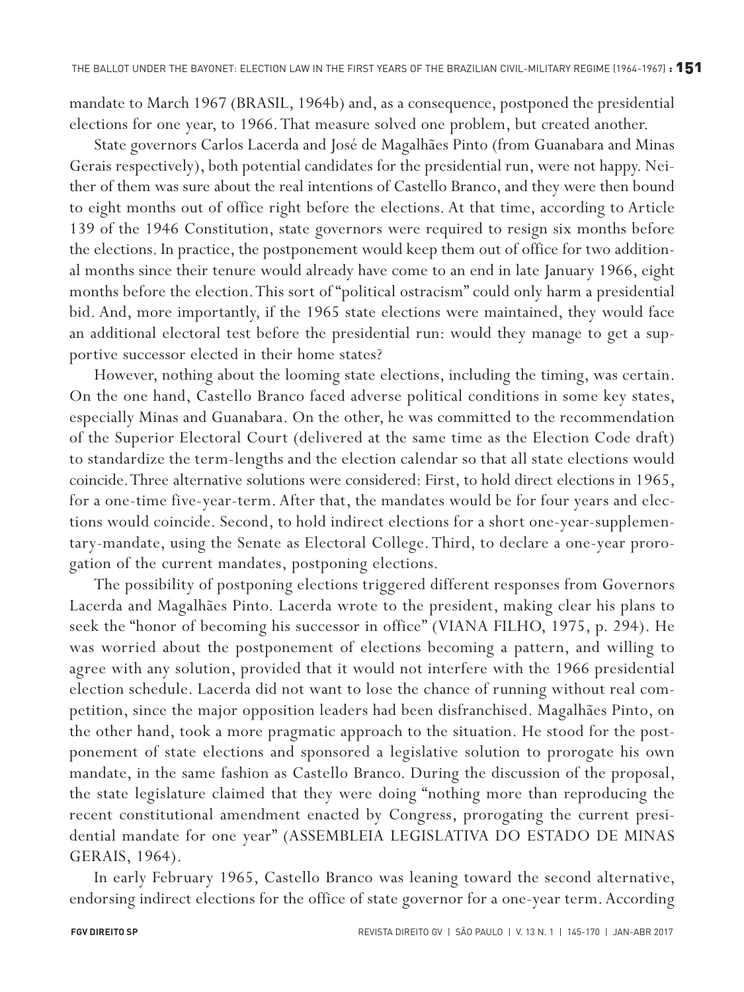mandate to March 1967 (BRASIL, 1964b) and, as a consequence, postponed the presidential elections for one year, to 1966.That measure solved one problem, but created another.

State governors Carlos Lacerda and José de Magalhães Pinto (from Guanabara and Minas Gerais respectively), both potential candidates for the presidential run, were not happy. Neither of them was sure about the real intentions of Castello Branco, and they were then bound to eight months out of office right before the elections. At that time, according to Article 139 of the 1946 Constitution, state governors were required to resign six months before the elections. In practice, the postponement would keep them out of office for two additional months since their tenure would already have come to an end in late January 1966, eight months before the election.This sort of "political ostracism" could only harm a presidential bid. And, more importantly, if the 1965 state elections were maintained, they would face an additional electoral test before the presidential run: would they manage to get a supportive successor elected in their home states?

However, nothing about the looming state elections, including the timing, was certain. On the one hand, Castello Branco faced adverse political conditions in some key states, especially Minas and Guanabara. On the other, he was committed to the recommendation of the Superior Electoral Court (delivered at the same time as the Election Code draft) to standardize the term-lengths and the election calendar so that all state elections would coincide.Three alternative solutions were considered: First, to hold direct elections in 1965, for a one-time five-year-term.After that, the mandates would be for four years and elections would coincide. Second, to hold indirect elections for a short one-year-supplementary-mandate, using the Senate as Electoral College.Third, to declare a one-year prorogation of the current mandates, postponing elections.

The possibility of postponing elections triggered different responses from Governors Lacerda and Magalhães Pinto. Lacerda wrote to the president, making clear his plans to seek the "honor of becoming his successor in office" (VIANA FILHO, 1975, p. 294). He was worried about the postponement of elections becoming a pattern, and willing to agree with any solution, provided that it would not interfere with the 1966 presidential election schedule. Lacerda did not want to lose the chance of running without real competition, since the major opposition leaders had been disfranchised. Magalhães Pinto, on the other hand, took a more pragmatic approach to the situation. He stood for the postponement of state elections and sponsored a legislative solution to prorogate his own mandate, in the same fashion as Castello Branco. During the discussion of the proposal, the state legislature claimed that they were doing "nothing more than reproducing the recent constitutional amendment enacted by Congress, prorogating the current presidential mandate for one year" (ASSEMBLEIA LEGISLATIVA DO ESTADO DE MINAS GERAIS, 1964).

In early February 1965, Castello Branco was leaning toward the second alternative, endorsing indirect elections for the office of state governor for a one-year term.According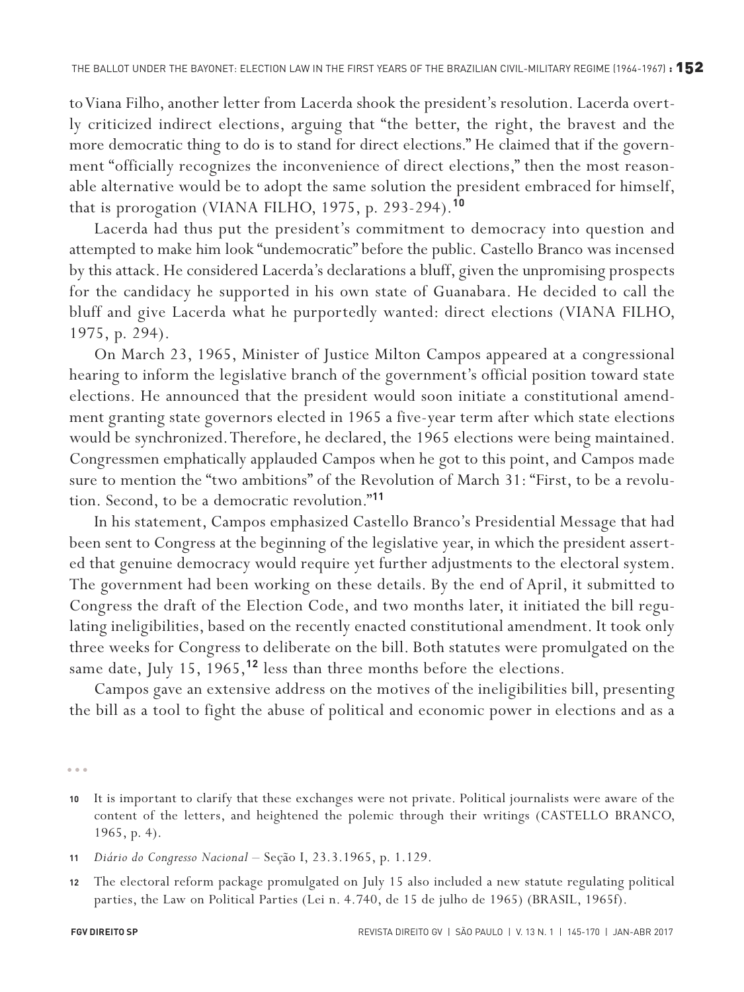toViana Filho, another letter from Lacerda shook the president's resolution. Lacerda overtly criticized indirect elections, arguing that "the better, the right, the bravest and the more democratic thing to do is to stand for direct elections." He claimed that if the government "officially recognizes the inconvenience of direct elections," then the most reasonable alternative would be to adopt the same solution the president embraced for himself, that is prorogation (VIANA FILHO, 1975, p. 293-294). **10**

Lacerda had thus put the president's commitment to democracy into question and attempted to make him look "undemocratic" before the public. Castello Branco was incensed by this attack. He considered Lacerda's declarations a bluff, given the unpromising prospects for the candidacy he supported in his own state of Guanabara. He decided to call the bluff and give Lacerda what he purportedly wanted: direct elections (VIANA FILHO, 1975, p. 294).

On March 23, 1965, Minister of Justice Milton Campos appeared at a congressional hearing to inform the legislative branch of the government's official position toward state elections. He announced that the president would soon initiate a constitutional amendment granting state governors elected in 1965 a five-year term after which state elections would be synchronized.Therefore, he declared, the 1965 elections were being maintained. Congressmen emphatically applauded Campos when he got to this point, and Campos made sure to mention the "two ambitions" of the Revolution of March 31: "First, to be a revolution. Second, to be a democratic revolution."**<sup>11</sup>**

In his statement, Campos emphasized Castello Branco's Presidential Message that had been sent to Congress at the beginning of the legislative year, in which the president asserted that genuine democracy would require yet further adjustments to the electoral system. The government had been working on these details. By the end of April, it submitted to Congress the draft of the Election Code, and two months later, it initiated the bill regulating ineligibilities, based on the recently enacted constitutional amendment. It took only three weeks for Congress to deliberate on the bill. Both statutes were promulgated on the same date, July 15, 1965, **<sup>12</sup>** less than three months before the elections.

Campos gave an extensive address on the motives of the ineligibilities bill, presenting the bill as a tool to fight the abuse of political and economic power in elections and as a

**<sup>10</sup>** It is important to clarify that these exchanges were not private. Political journalists were aware of the content of the letters, and heightened the polemic through their writings (CASTELLO BRANCO, 1965, p. 4).

**<sup>11</sup>** *Diário do Congresso Nacional* – Seção I, 23.3.1965, p. 1.129.

**<sup>12</sup>** The electoral reform package promulgated on July 15 also included a new statute regulating political parties, the Law on Political Parties (Lei n. 4.740, de 15 de julho de 1965) (BRASIL, 1965f).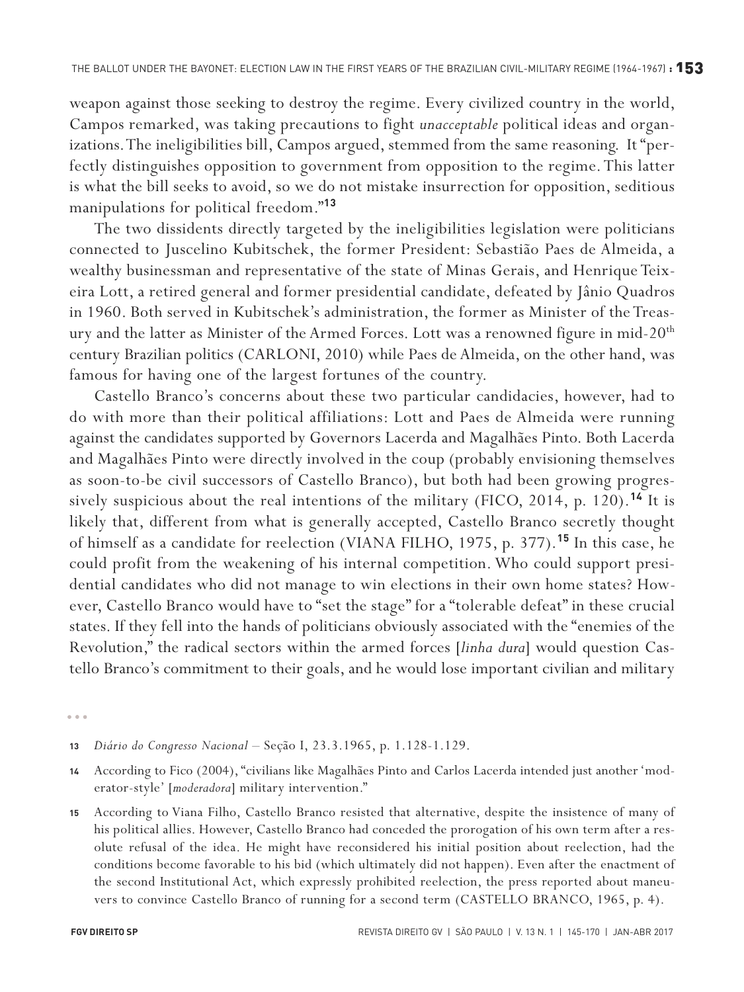weapon against those seeking to destroy the regime. Every civilized country in the world, Campos remarked, was taking precautions to fight *unacceptable* political ideas and organizations.The ineligibilities bill, Campos argued, stemmed from the same reasoning. It "perfectly distinguishes opposition to government from opposition to the regime.This latter is what the bill seeks to avoid, so we do not mistake insurrection for opposition, seditious manipulations for political freedom."**<sup>13</sup>**

The two dissidents directly targeted by the ineligibilities legislation were politicians connected to Juscelino Kubitschek, the former President: Sebastião Paes de Almeida, a wealthy businessman and representative of the state of Minas Gerais, and Henrique Teixeira Lott, a retired general and former presidential candidate, defeated by Jânio Quadros in 1960. Both served in Kubitschek's administration, the former as Minister of the Treasury and the latter as Minister of the Armed Forces. Lott was a renowned figure in mid-20<sup>th</sup> century Brazilian politics (CARLONI, 2010) while Paes de Almeida, on the other hand, was famous for having one of the largest fortunes of the country.

Castello Branco's concerns about these two particular candidacies, however, had to do with more than their political affiliations: Lott and Paes de Almeida were running against the candidates supported by Governors Lacerda and Magalhães Pinto. Both Lacerda and Magalhães Pinto were directly involved in the coup (probably envisioning themselves as soon-to-be civil successors of Castello Branco), but both had been growing progressively suspicious about the real intentions of the military (FICO, 2014, p. 120).**<sup>14</sup>** It is likely that, different from what is generally accepted, Castello Branco secretly thought of himself as a candidate for reelection (VIANA FILHO, 1975, p. 377). **<sup>15</sup>** In this case, he could profit from the weakening of his internal competition. Who could support presidential candidates who did not manage to win elections in their own home states? However, Castello Branco would have to "set the stage" for a "tolerable defeat" in these crucial states. If they fell into the hands of politicians obviously associated with the "enemies of the Revolution," the radical sectors within the armed forces [*linha dura*] would question Castello Branco's commitment to their goals, and he would lose important civilian and military

 $\bullet$   $\bullet$   $\bullet$ 

**<sup>13</sup>** *Diário do Congresso Nacional* – Seção I, 23.3.1965, p. 1.128-1.129.

**<sup>14</sup>** According to Fico (2004), "civilians like Magalhães Pinto and Carlos Lacerda intended just another'moderator-style' [*moderadora*] military intervention."

**<sup>15</sup>** According to Viana Filho, Castello Branco resisted that alternative, despite the insistence of many of his political allies. However, Castello Branco had conceded the prorogation of his own term after a resolute refusal of the idea. He might have reconsidered his initial position about reelection, had the conditions become favorable to his bid (which ultimately did not happen). Even after the enactment of the second Institutional Act, which expressly prohibited reelection, the press reported about maneuvers to convince Castello Branco of running for a second term (CASTELLO BRANCO, 1965, p. 4).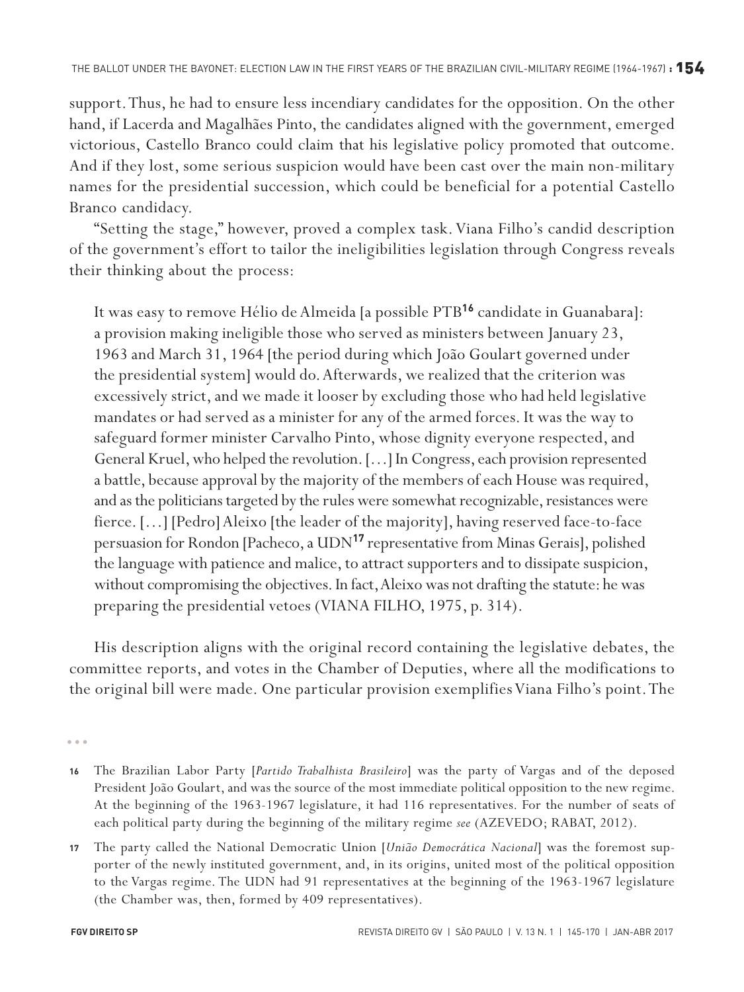support.Thus, he had to ensure less incendiary candidates for the opposition. On the other hand, if Lacerda and Magalhães Pinto, the candidates aligned with the government, emerged victorious, Castello Branco could claim that his legislative policy promoted that outcome. And if they lost, some serious suspicion would have been cast over the main non-military names for the presidential succession, which could be beneficial for a potential Castello Branco candidacy.

"Setting the stage," however, proved a complex task.Viana Filho's candid description of the government's effort to tailor the ineligibilities legislation through Congress reveals their thinking about the process:

It was easy to remove Hélio deAlmeida [a possible PTB**<sup>16</sup>** candidate in Guanabara]: a provision making ineligible those who served as ministers between January 23, 1963 and March 31, 1964 [the period during which João Goulart governed under the presidential system] would do.Afterwards, we realized that the criterion was excessively strict, and we made it looser by excluding those who had held legislative mandates or had served as a minister for any of the armed forces. It was the way to safeguard former minister Carvalho Pinto, whose dignity everyone respected, and General Kruel,who helped the revolution.[…] In Congress, each provision represented a battle, because approval by the majority of the members of each House was required, and as the politicians targeted by the rules were somewhat recognizable, resistances were fierce. […] [Pedro]Aleixo [the leader of the majority], having reserved face-to-face persuasion for Rondon [Pacheco, a UDN<sup>17</sup> representative from Minas Gerais], polished the language with patience and malice, to attract supporters and to dissipate suspicion, without compromising the objectives. In fact, Aleixo was not drafting the statute: he was preparing the presidential vetoes (VIANA FILHO, 1975, p. 314).

His description aligns with the original record containing the legislative debates, the committee reports, and votes in the Chamber of Deputies, where all the modifications to the original bill were made. One particular provision exemplifiesViana Filho's point.The

**<sup>17</sup>** The party called the National Democratic Union [*União Democrática Nacional*] was the foremost supporter of the newly instituted government, and, in its origins, united most of the political opposition to the Vargas regime. The UDN had 91 representatives at the beginning of the 1963-1967 legislature (the Chamber was, then, formed by 409 representatives).

**<sup>16</sup>** The Brazilian Labor Party [*Partido Trabalhista Brasileiro*] was the party of Vargas and of the deposed President João Goulart, and was the source of the most immediate political opposition to the new regime. At the beginning of the 1963-1967 legislature, it had 116 representatives. For the number of seats of each political party during the beginning of the military regime *see* (AZEVEDO; RABAT, 2012).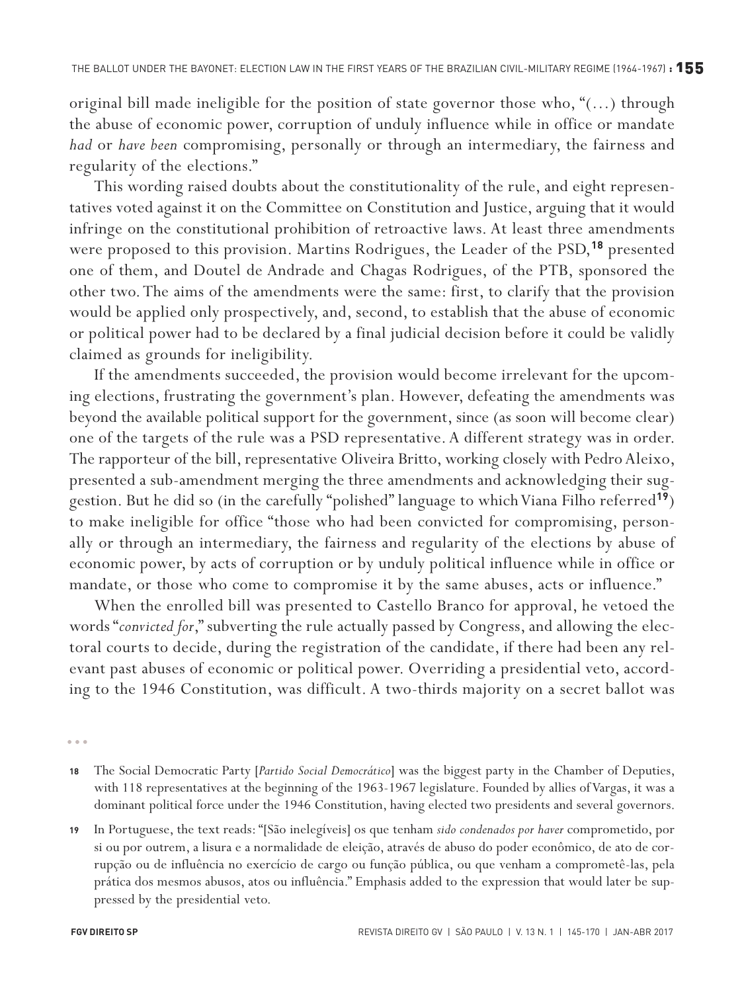original bill made ineligible for the position of state governor those who, "(…) through the abuse of economic power, corruption of unduly influence while in office or mandate *had* or *have been* compromising, personally or through an intermediary, the fairness and regularity of the elections."

This wording raised doubts about the constitutionality of the rule, and eight representatives voted against it on the Committee on Constitution and Justice, arguing that it would infringe on the constitutional prohibition of retroactive laws. At least three amendments were proposed to this provision. Martins Rodrigues, the Leader of the PSD, **<sup>18</sup>** presented one of them, and Doutel de Andrade and Chagas Rodrigues, of the PTB, sponsored the other two.The aims of the amendments were the same: first, to clarify that the provision would be applied only prospectively, and, second, to establish that the abuse of economic or political power had to be declared by a final judicial decision before it could be validly claimed as grounds for ineligibility.

If the amendments succeeded, the provision would become irrelevant for the upcoming elections, frustrating the government's plan. However, defeating the amendments was beyond the available political support for the government, since (as soon will become clear) one of the targets of the rule was a PSD representative.A different strategy was in order. The rapporteur of the bill, representative Oliveira Britto, working closely with Pedro Aleixo, presented a sub-amendment merging the three amendments and acknowledging their suggestion. But he did so (in the carefully "polished" language to whichViana Filho referred**<sup>19</sup>**) to make ineligible for office "those who had been convicted for compromising, personally or through an intermediary, the fairness and regularity of the elections by abuse of economic power, by acts of corruption or by unduly political influence while in office or mandate, or those who come to compromise it by the same abuses, acts or influence."

When the enrolled bill was presented to Castello Branco for approval, he vetoed the words "*convicted for*," subverting the rule actually passed by Congress, and allowing the electoral courts to decide, during the registration of the candidate, if there had been any relevant past abuses of economic or political power. Overriding a presidential veto, according to the 1946 Constitution, was difficult. A two-thirds majority on a secret ballot was

- **<sup>18</sup>** The Social Democratic Party [*Partido Social Democrático*] was the biggest party in the Chamber of Deputies, with 118 representatives at the beginning of the 1963-1967 legislature. Founded by allies ofVargas, it was a dominant political force under the 1946 Constitution, having elected two presidents and several governors.
- **<sup>19</sup>** In Portuguese, the text reads: "[São inelegíveis] os que tenham *sido condenados por haver* comprometido, por si ou por outrem, a lisura e a normalidade de eleição, através de abuso do poder econômico, de ato de corrupção ou de influência no exercício de cargo ou função pública, ou que venham a comprometê-las, pela prática dos mesmos abusos, atos ou influência." Emphasis added to the expression that would later be suppressed by the presidential veto.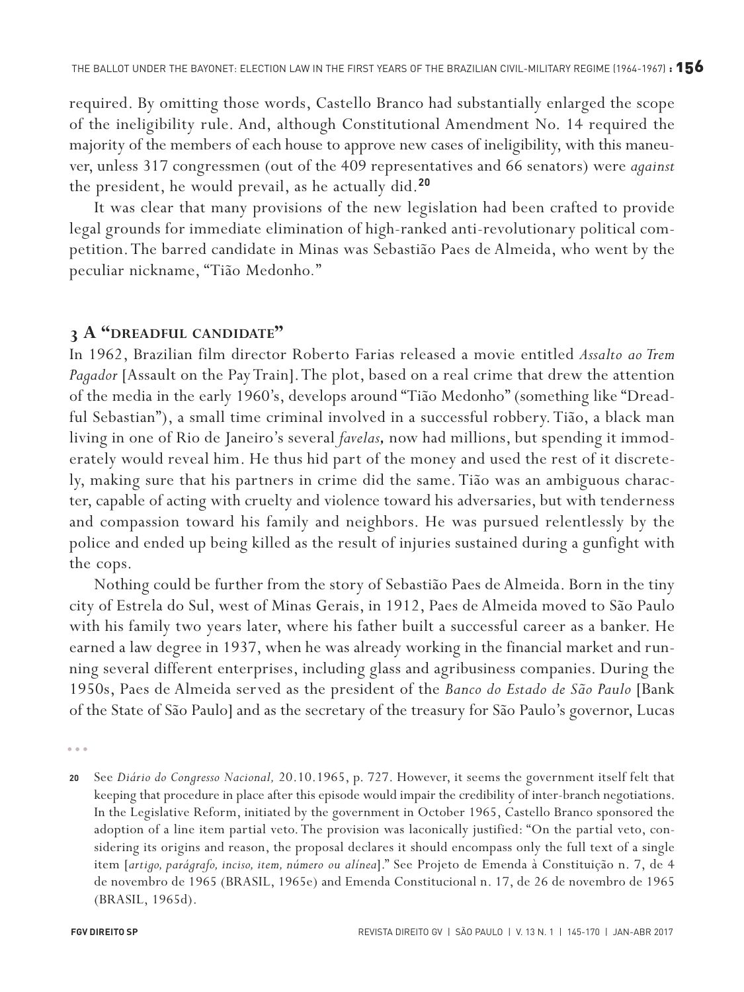required. By omitting those words, Castello Branco had substantially enlarged the scope of the ineligibility rule. And, although Constitutional Amendment No. 14 required the majority of the members of each house to approve new cases of ineligibility, with this maneuver, unless 317 congressmen (out of the 409 representatives and 66 senators) were *against* the president, he would prevail, as he actually did. **20**

It was clear that many provisions of the new legislation had been crafted to provide legal grounds for immediate elimination of high-ranked anti-revolutionary political competition.The barred candidate in Minas was Sebastião Paes de Almeida, who went by the peculiar nickname, "Tião Medonho*.*"

## **3 A "DREADFUL CANDIDATE"**

In 1962, Brazilian film director Roberto Farias released a movie entitled *Assalto ao Trem Pagador* [Assault on the PayTrain].The plot, based on a real crime that drew the attention of the media in the early 1960's, develops around "Tião Medonho" (something like "Dreadful Sebastian"), a small time criminal involved in a successful robbery.Tião, a black man living in one of Rio de Janeiro's several *favelas,* now had millions, but spending it immoderately would reveal him. He thus hid part of the money and used the rest of it discretely, making sure that his partners in crime did the same. Tião was an ambiguous character, capable of acting with cruelty and violence toward his adversaries, but with tenderness and compassion toward his family and neighbors. He was pursued relentlessly by the police and ended up being killed as the result of injuries sustained during a gunfight with the cops.

Nothing could be further from the story of Sebastião Paes de Almeida. Born in the tiny city of Estrela do Sul, west of Minas Gerais, in 1912, Paes de Almeida moved to São Paulo with his family two years later, where his father built a successful career as a banker. He earned a law degree in 1937, when he was already working in the financial market and running several different enterprises, including glass and agribusiness companies. During the 1950s, Paes de Almeida served as the president of the *Banco do Estado de São Paulo* [Bank of the State of São Paulo] and as the secretary of the treasury for São Paulo's governor, Lucas

**<sup>20</sup>** See *Diário do Congresso Nacional,* 20.10.1965, p. 727. However, it seems the government itself felt that keeping that procedure in place after this episode would impair the credibility of inter-branch negotiations. In the Legislative Reform, initiated by the government in October 1965, Castello Branco sponsored the adoption of a line item partial veto. The provision was laconically justified: "On the partial veto, considering its origins and reason, the proposal declares it should encompass only the full text of a single item [*artigo, parágrafo, inciso, item, número ou alínea*]." See Projeto de Emenda à Constituição n. 7, de 4 de novembro de 1965 (BRASIL, 1965e) and Emenda Constitucional n. 17, de 26 de novembro de 1965 (BRASIL, 1965d).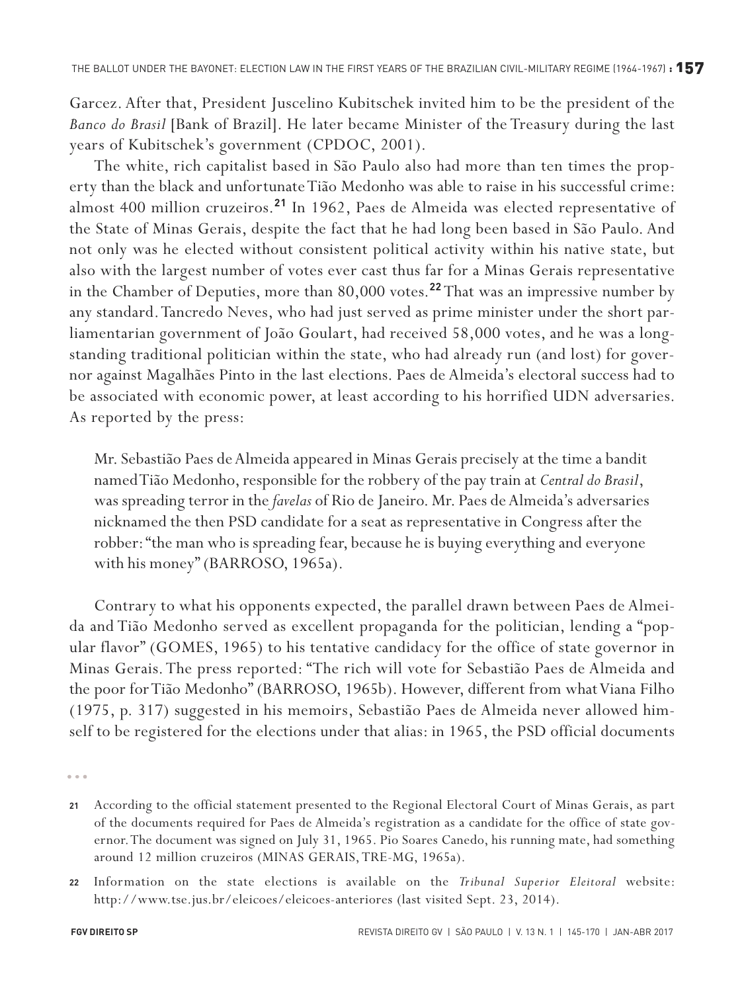Garcez. After that, President Juscelino Kubitschek invited him to be the president of the *Banco do Brasil* [Bank of Brazil]. He later became Minister of the Treasury during the last years of Kubitschek's government (CPDOC, 2001).

The white, rich capitalist based in São Paulo also had more than ten times the property than the black and unfortunateTião Medonho was able to raise in his successful crime: almost 400 million cruzeiros. **<sup>21</sup>** In 1962, Paes de Almeida was elected representative of the State of Minas Gerais, despite the fact that he had long been based in São Paulo. And not only was he elected without consistent political activity within his native state, but also with the largest number of votes ever cast thus far for a Minas Gerais representative in the Chamber of Deputies, more than 80,000 votes. **<sup>22</sup>**That was an impressive number by any standard.Tancredo Neves, who had just served as prime minister under the short parliamentarian government of João Goulart, had received 58,000 votes, and he was a longstanding traditional politician within the state, who had already run (and lost) for governor against Magalhães Pinto in the last elections. Paes de Almeida's electoral success had to be associated with economic power, at least according to his horrified UDN adversaries. As reported by the press:

Mr. Sebastião Paes deAlmeida appeared in Minas Gerais precisely at the time a bandit namedTião Medonho, responsible for the robbery of the pay train at *Central do Brasil*, was spreading terror in the *favelas* of Rio de Janeiro. Mr. Paes deAlmeida's adversaries nicknamed the then PSD candidate for a seat as representative in Congress after the robber:"the man who is spreading fear, because he is buying everything and everyone with his money" (BARROSO, 1965a).

Contrary to what his opponents expected, the parallel drawn between Paes de Almeida and Tião Medonho served as excellent propaganda for the politician, lending a "popular flavor" (GOMES, 1965) to his tentative candidacy for the office of state governor in Minas Gerais.The press reported: "The rich will vote for Sebastião Paes de Almeida and the poor for Tião Medonho" (BARROSO, 1965b). However, different from what Viana Filho (1975, p. 317) suggested in his memoirs, Sebastião Paes de Almeida never allowed himself to be registered for the elections under that alias: in 1965, the PSD official documents

**<sup>21</sup>** According to the official statement presented to the Regional Electoral Court of Minas Gerais, as part of the documents required for Paes de Almeida's registration as a candidate for the office of state governor.The document was signed on July 31, 1965. Pio Soares Canedo, his running mate, had something around 12 million cruzeiros (MINAS GERAIS,TRE-MG, 1965a).

**<sup>22</sup>** Information on the state elections is available on the *Tribunal Superior Eleitoral* website: <http://www.tse.jus.br/eleicoes/eleicoes-anteriores> (last visited Sept. 23, 2014).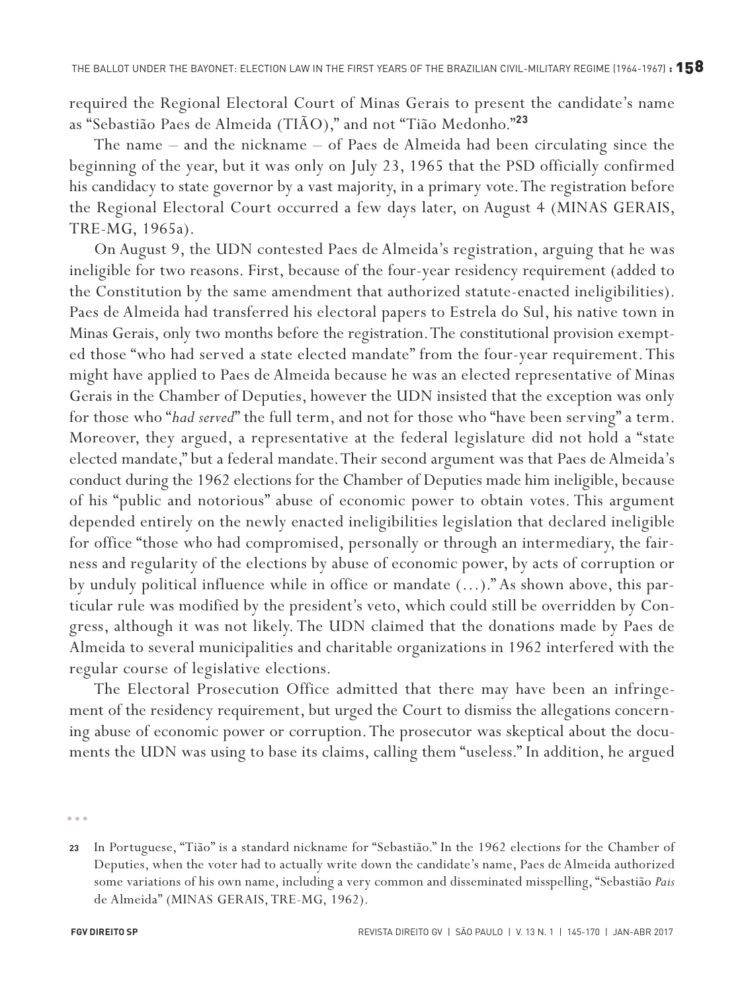required the Regional Electoral Court of Minas Gerais to present the candidate's name as "Sebastião Paes de Almeida (TIÃO)," and not "Tião Medonho."**<sup>23</sup>**

The name – and the nickname – of Paes de Almeida had been circulating since the beginning of the year, but it was only on July 23, 1965 that the PSD officially confirmed his candidacy to state governor by a vast majority, in a primary vote.The registration before the Regional Electoral Court occurred a few days later, on August 4 (MINAS GERAIS, TRE-MG, 1965a).

On August 9, the UDN contested Paes de Almeida's registration, arguing that he was ineligible for two reasons. First, because of the four-year residency requirement (added to the Constitution by the same amendment that authorized statute-enacted ineligibilities). Paes de Almeida had transferred his electoral papers to Estrela do Sul, his native town in Minas Gerais, only two months before the registration.The constitutional provision exempted those "who had served a state elected mandate" from the four-year requirement.This might have applied to Paes de Almeida because he was an elected representative of Minas Gerais in the Chamber of Deputies, however the UDN insisted that the exception was only for those who "*had served*" the full term, and not for those who "have been serving" a term. Moreover, they argued, a representative at the federal legislature did not hold a "state elected mandate," but a federal mandate.Their second argument was that Paes de Almeida's conduct during the 1962 elections for the Chamber of Deputies made him ineligible, because of his "public and notorious" abuse of economic power to obtain votes. This argument depended entirely on the newly enacted ineligibilities legislation that declared ineligible for office "those who had compromised, personally or through an intermediary, the fairness and regularity of the elections by abuse of economic power, by acts of corruption or by unduly political influence while in office or mandate (…)." As shown above, this particular rule was modified by the president's veto, which could still be overridden by Congress, although it was not likely. The UDN claimed that the donations made by Paes de Almeida to several municipalities and charitable organizations in 1962 interfered with the regular course of legislative elections.

The Electoral Prosecution Office admitted that there may have been an infringement of the residency requirement, but urged the Court to dismiss the allegations concerning abuse of economic power or corruption.The prosecutor was skeptical about the documents the UDN was using to base its claims, calling them "useless." In addition, he argued

**<sup>23</sup>** In Portuguese, "Tião" is a standard nickname for "Sebastião." In the 1962 elections for the Chamber of Deputies, when the voter had to actually write down the candidate's name, Paes de Almeida authorized some variations of his own name, including a very common and disseminated misspelling, "Sebastião *Pais* de Almeida" (MINAS GERAIS,TRE-MG, 1962).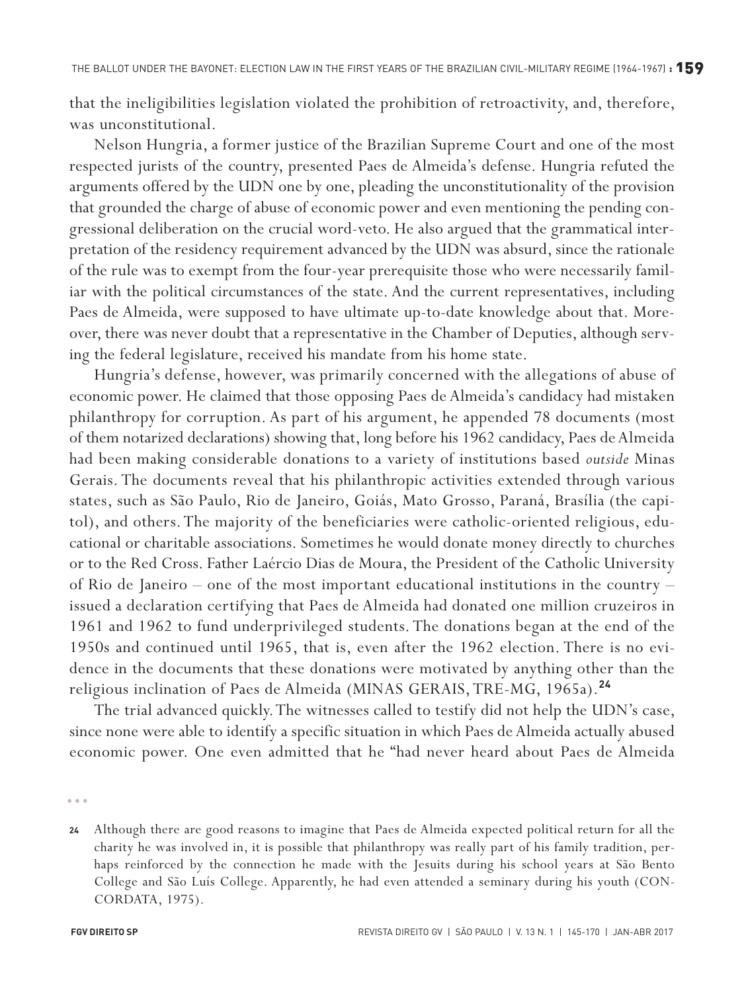that the ineligibilities legislation violated the prohibition of retroactivity, and, therefore, was unconstitutional.

Nelson Hungria, a former justice of the Brazilian Supreme Court and one of the most respected jurists of the country, presented Paes de Almeida's defense. Hungria refuted the arguments offered by the UDN one by one, pleading the unconstitutionality of the provision that grounded the charge of abuse of economic power and even mentioning the pending congressional deliberation on the crucial word-veto. He also argued that the grammatical interpretation of the residency requirement advanced by the UDN was absurd, since the rationale of the rule was to exempt from the four-year prerequisite those who were necessarily familiar with the political circumstances of the state. And the current representatives, including Paes de Almeida, were supposed to have ultimate up-to-date knowledge about that. Moreover, there was never doubt that a representative in the Chamber of Deputies, although serving the federal legislature, received his mandate from his home state.

Hungria's defense, however, was primarily concerned with the allegations of abuse of economic power. He claimed that those opposing Paes de Almeida's candidacy had mistaken philanthropy for corruption. As part of his argument, he appended 78 documents (most of them notarized declarations) showing that, long before his 1962 candidacy, Paes deAlmeida had been making considerable donations to a variety of institutions based *outside* Minas Gerais. The documents reveal that his philanthropic activities extended through various states, such as São Paulo, Rio de Janeiro, Goiás, Mato Grosso, Paraná, Brasília (the capitol), and others.The majority of the beneficiaries were catholic-oriented religious, educational or charitable associations. Sometimes he would donate money directly to churches or to the Red Cross. Father Laércio Dias de Moura, the President of the Catholic University of Rio de Janeiro – one of the most important educational institutions in the country – issued a declaration certifying that Paes de Almeida had donated one million cruzeiros in 1961 and 1962 to fund underprivileged students. The donations began at the end of the 1950s and continued until 1965, that is, even after the 1962 election. There is no evidence in the documents that these donations were motivated by anything other than the religious inclination of Paes de Almeida (MINAS GERAIS,TRE-MG, 1965a). **24**

The trial advanced quickly.The witnesses called to testify did not help the UDN's case, since none were able to identify a specific situation in which Paes deAlmeida actually abused economic power. One even admitted that he "had never heard about Paes de Almeida

**<sup>24</sup>** Although there are good reasons to imagine that Paes de Almeida expected political return for all the charity he was involved in, it is possible that philanthropy was really part of his family tradition, perhaps reinforced by the connection he made with the Jesuits during his school years at São Bento College and São Luís College. Apparently, he had even attended a seminary during his youth (CON-CORDATA, 1975).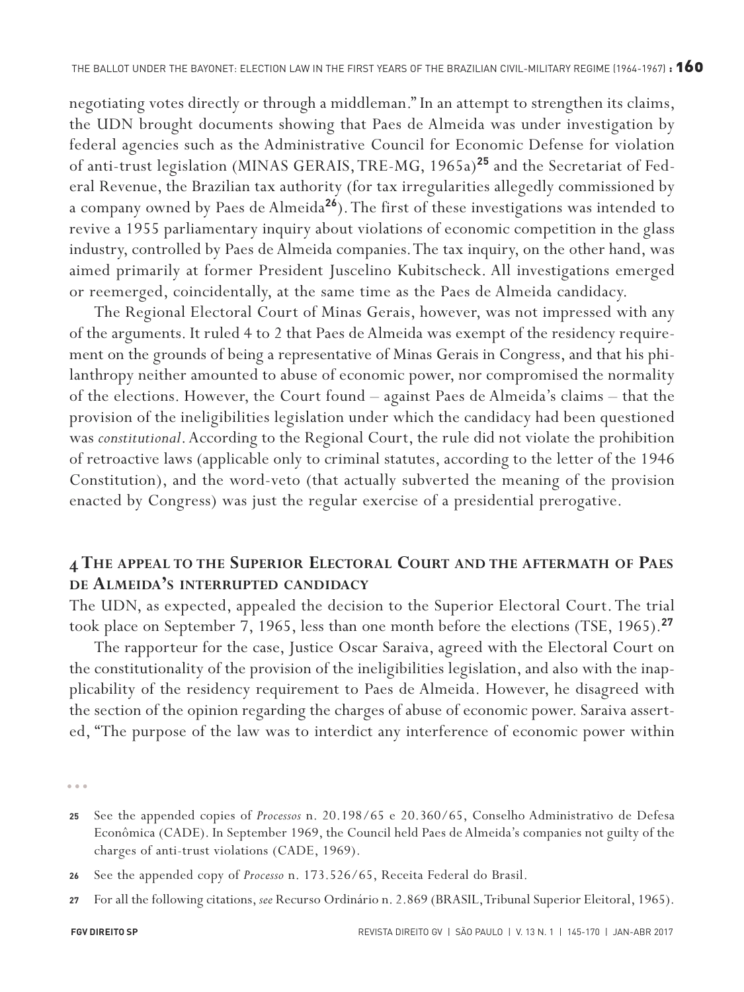negotiating votes directly or through a middleman." In an attempt to strengthen its claims, the UDN brought documents showing that Paes de Almeida was under investigation by federal agencies such as the Administrative Council for Economic Defense for violation of anti-trust legislation (MINAS GERAIS,TRE-MG, 1965a)**<sup>25</sup>** and the Secretariat of Federal Revenue, the Brazilian tax authority (for tax irregularities allegedly commissioned by a company owned by Paes de Almeida**<sup>26</sup>**).The first of these investigations was intended to revive a 1955 parliamentary inquiry about violations of economic competition in the glass industry, controlled by Paes de Almeida companies.The tax inquiry, on the other hand, was aimed primarily at former President Juscelino Kubitscheck. All investigations emerged or reemerged, coincidentally, at the same time as the Paes de Almeida candidacy.

The Regional Electoral Court of Minas Gerais, however, was not impressed with any of the arguments. It ruled 4 to 2 that Paes de Almeida was exempt of the residency requirement on the grounds of being a representative of Minas Gerais in Congress, and that his philanthropy neither amounted to abuse of economic power, nor compromised the normality of the elections. However, the Court found – against Paes de Almeida's claims – that the provision of the ineligibilities legislation under which the candidacy had been questioned was *constitutional*.According to the Regional Court, the rule did not violate the prohibition of retroactive laws (applicable only to criminal statutes, according to the letter of the 1946 Constitution), and the word-veto (that actually subverted the meaning of the provision enacted by Congress) was just the regular exercise of a presidential prerogative.

# **4 THE APPEAL TO THE SUPERIOR ELECTORAL COURT AND THE AFTERMATH OF PAES DE ALMEIDA'S INTERRUPTED CANDIDACY**

The UDN, as expected, appealed the decision to the Superior Electoral Court.The trial took place on September 7, 1965, less than one month before the elections (TSE, 1965). **27**

The rapporteur for the case, Justice Oscar Saraiva, agreed with the Electoral Court on the constitutionality of the provision of the ineligibilities legislation, and also with the inapplicability of the residency requirement to Paes de Almeida. However, he disagreed with the section of the opinion regarding the charges of abuse of economic power. Saraiva asserted, "The purpose of the law was to interdict any interference of economic power within

**<sup>25</sup>** See the appended copies of *Processos* n. 20.198/65 e 20.360/65, Conselho Administrativo de Defesa Econômica (CADE). In September 1969, the Council held Paes de Almeida's companies not guilty of the charges of anti-trust violations (CADE, 1969).

**<sup>26</sup>** See the appended copy of *Processo* n. 173.526/65, Receita Federal do Brasil.

**<sup>27</sup>** For all the following citations, *see* Recurso Ordinário n. 2.869 (BRASIL,Tribunal Superior Eleitoral, 1965).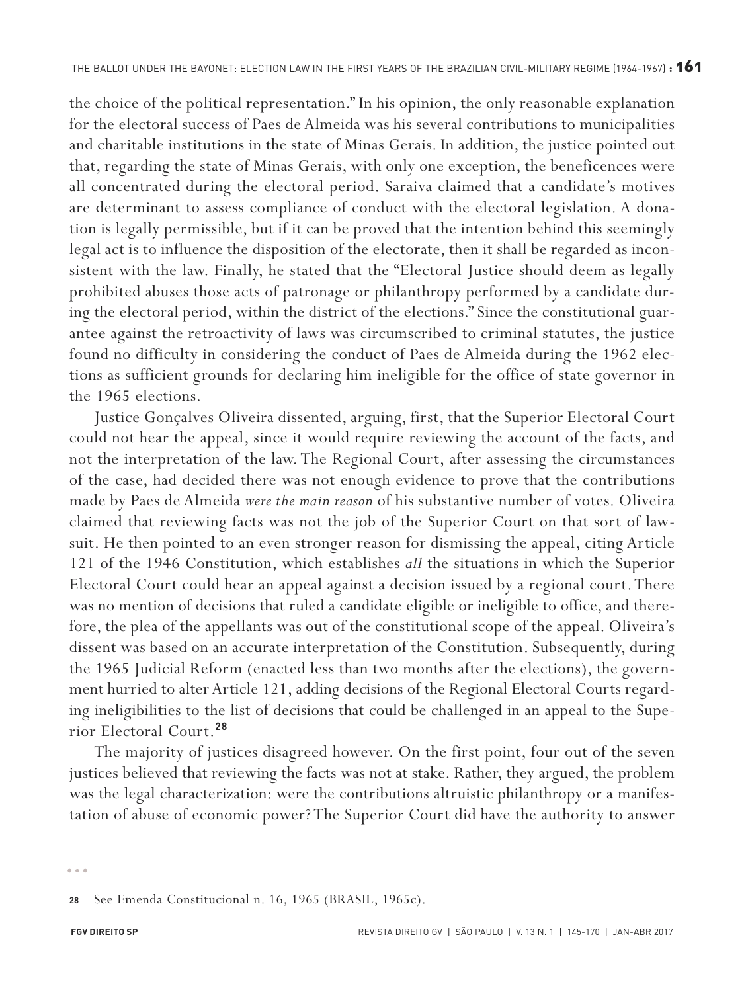the choice of the political representation." In his opinion, the only reasonable explanation for the electoral success of Paes de Almeida was his several contributions to municipalities and charitable institutions in the state of Minas Gerais. In addition, the justice pointed out that, regarding the state of Minas Gerais, with only one exception, the beneficences were all concentrated during the electoral period. Saraiva claimed that a candidate's motives are determinant to assess compliance of conduct with the electoral legislation. A donation is legally permissible, but if it can be proved that the intention behind this seemingly legal act is to influence the disposition of the electorate, then it shall be regarded as inconsistent with the law. Finally, he stated that the "Electoral Justice should deem as legally prohibited abuses those acts of patronage or philanthropy performed by a candidate during the electoral period, within the district of the elections." Since the constitutional guarantee against the retroactivity of laws was circumscribed to criminal statutes, the justice found no difficulty in considering the conduct of Paes de Almeida during the 1962 elections as sufficient grounds for declaring him ineligible for the office of state governor in the 1965 elections.

Justice Gonçalves Oliveira dissented, arguing, first, that the Superior Electoral Court could not hear the appeal, since it would require reviewing the account of the facts, and not the interpretation of the law. The Regional Court, after assessing the circumstances of the case, had decided there was not enough evidence to prove that the contributions made by Paes de Almeida *were the main reason* of his substantive number of votes. Oliveira claimed that reviewing facts was not the job of the Superior Court on that sort of lawsuit. He then pointed to an even stronger reason for dismissing the appeal, citing Article 121 of the 1946 Constitution, which establishes *all* the situations in which the Superior Electoral Court could hear an appeal against a decision issued by a regional court.There was no mention of decisions that ruled a candidate eligible or ineligible to office, and therefore, the plea of the appellants was out of the constitutional scope of the appeal. Oliveira's dissent was based on an accurate interpretation of the Constitution. Subsequently, during the 1965 Judicial Reform (enacted less than two months after the elections), the government hurried to alter Article 121, adding decisions of the Regional Electoral Courts regarding ineligibilities to the list of decisions that could be challenged in an appeal to the Superior Electoral Court. **28**

The majority of justices disagreed however. On the first point, four out of the seven justices believed that reviewing the facts was not at stake. Rather, they argued, the problem was the legal characterization: were the contributions altruistic philanthropy or a manifestation of abuse of economic power? The Superior Court did have the authority to answer

**<sup>28</sup>** See Emenda Constitucional n. 16, 1965 (BRASIL, 1965c).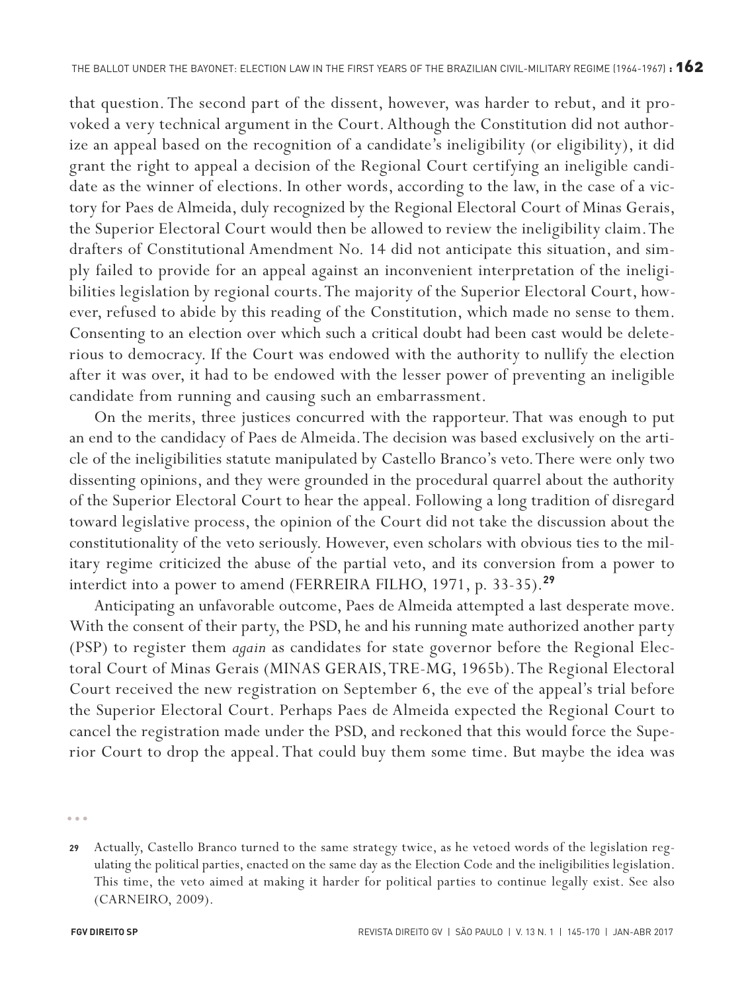that question. The second part of the dissent, however, was harder to rebut, and it provoked a very technical argument in the Court.Although the Constitution did not authorize an appeal based on the recognition of a candidate's ineligibility (or eligibility), it did grant the right to appeal a decision of the Regional Court certifying an ineligible candidate as the winner of elections. In other words, according to the law, in the case of a victory for Paes de Almeida, duly recognized by the Regional Electoral Court of Minas Gerais, the Superior Electoral Court would then be allowed to review the ineligibility claim.The drafters of Constitutional Amendment No. 14 did not anticipate this situation, and simply failed to provide for an appeal against an inconvenient interpretation of the ineligibilities legislation by regional courts.The majority of the Superior Electoral Court, however, refused to abide by this reading of the Constitution, which made no sense to them. Consenting to an election over which such a critical doubt had been cast would be deleterious to democracy. If the Court was endowed with the authority to nullify the election after it was over, it had to be endowed with the lesser power of preventing an ineligible candidate from running and causing such an embarrassment.

On the merits, three justices concurred with the rapporteur. That was enough to put an end to the candidacy of Paes de Almeida.The decision was based exclusively on the article of the ineligibilities statute manipulated by Castello Branco's veto.There were only two dissenting opinions, and they were grounded in the procedural quarrel about the authority of the Superior Electoral Court to hear the appeal. Following a long tradition of disregard toward legislative process, the opinion of the Court did not take the discussion about the constitutionality of the veto seriously. However, even scholars with obvious ties to the military regime criticized the abuse of the partial veto, and its conversion from a power to interdict into a power to amend (FERREIRA FILHO, 1971, p. 33-35). **29**

Anticipating an unfavorable outcome, Paes de Almeida attempted a last desperate move. With the consent of their party, the PSD, he and his running mate authorized another party (PSP) to register them *again* as candidates for state governor before the Regional Electoral Court of Minas Gerais (MINAS GERAIS,TRE-MG, 1965b).The Regional Electoral Court received the new registration on September 6, the eve of the appeal's trial before the Superior Electoral Court. Perhaps Paes de Almeida expected the Regional Court to cancel the registration made under the PSD, and reckoned that this would force the Superior Court to drop the appeal. That could buy them some time. But maybe the idea was

**<sup>29</sup>** Actually, Castello Branco turned to the same strategy twice, as he vetoed words of the legislation regulating the political parties, enacted on the same day as the Election Code and the ineligibilities legislation. This time, the veto aimed at making it harder for political parties to continue legally exist. See also (CARNEIRO, 2009).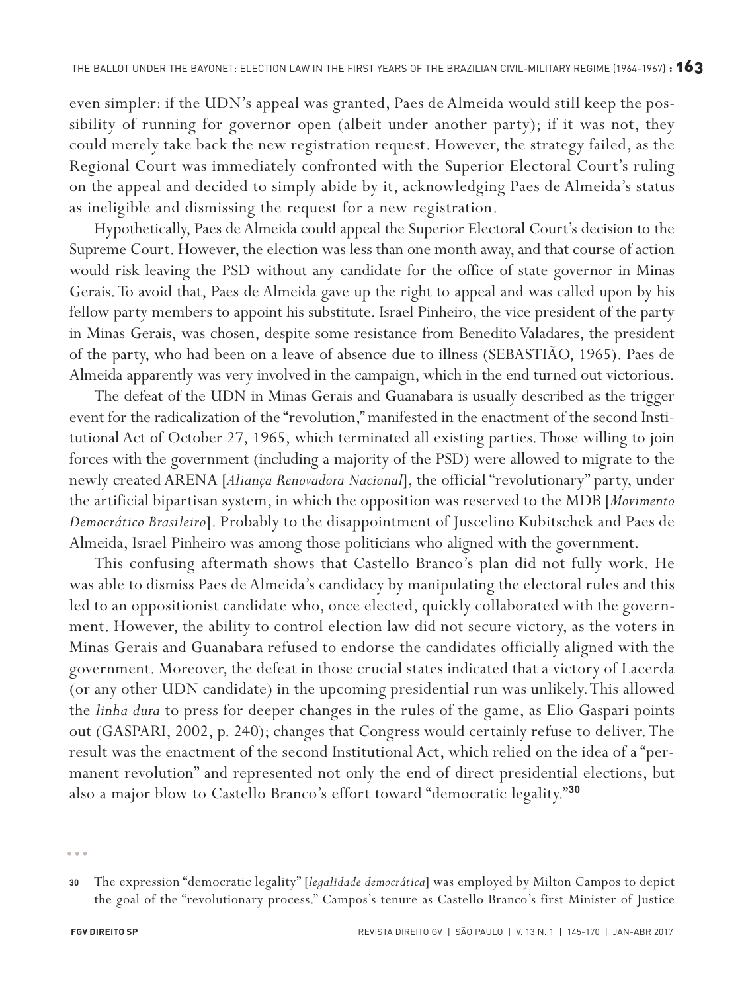even simpler: if the UDN's appeal was granted, Paes de Almeida would still keep the possibility of running for governor open (albeit under another party); if it was not, they could merely take back the new registration request. However, the strategy failed, as the Regional Court was immediately confronted with the Superior Electoral Court's ruling on the appeal and decided to simply abide by it, acknowledging Paes de Almeida's status as ineligible and dismissing the request for a new registration.

Hypothetically, Paes deAlmeida could appeal the Superior Electoral Court's decision to the Supreme Court. However, the election was less than one month away, and that course of action would risk leaving the PSD without any candidate for the office of state governor in Minas Gerais.To avoid that, Paes de Almeida gave up the right to appeal and was called upon by his fellow party members to appoint his substitute. Israel Pinheiro, the vice president of the party in Minas Gerais, was chosen, despite some resistance from Benedito Valadares, the president of the party, who had been on a leave of absence due to illness (SEBASTIÃO, 1965). Paes de Almeida apparently was very involved in the campaign, which in the end turned out victorious.

The defeat of the UDN in Minas Gerais and Guanabara is usually described as the trigger event for the radicalization of the "revolution," manifested in the enactment of the second Institutional Act of October 27, 1965, which terminated all existing parties.Those willing to join forces with the government (including a majority of the PSD) were allowed to migrate to the newly created ARENA [*Aliança Renovadora Nacional*], the official "revolutionary" party, under the artificial bipartisan system, in which the opposition was reserved to the MDB [*Movimento Democrático Brasileiro*]. Probably to the disappointment of Juscelino Kubitschek and Paes de Almeida, Israel Pinheiro was among those politicians who aligned with the government.

This confusing aftermath shows that Castello Branco's plan did not fully work. He was able to dismiss Paes de Almeida's candidacy by manipulating the electoral rules and this led to an oppositionist candidate who, once elected, quickly collaborated with the government. However, the ability to control election law did not secure victory, as the voters in Minas Gerais and Guanabara refused to endorse the candidates officially aligned with the government. Moreover, the defeat in those crucial states indicated that a victory of Lacerda (or any other UDN candidate) in the upcoming presidential run was unlikely.This allowed the *linha dura* to press for deeper changes in the rules of the game, as Elio Gaspari points out (GASPARI, 2002, p. 240); changes that Congress would certainly refuse to deliver.The result was the enactment of the second Institutional Act, which relied on the idea of a "permanent revolution" and represented not only the end of direct presidential elections, but also a major blow to Castello Branco's effort toward "democratic legality."**<sup>30</sup>**

**<sup>30</sup>** The expression "democratic legality" [*legalidade democrática*] was employed by Milton Campos to depict the goal of the "revolutionary process." Campos's tenure as Castello Branco's first Minister of Justice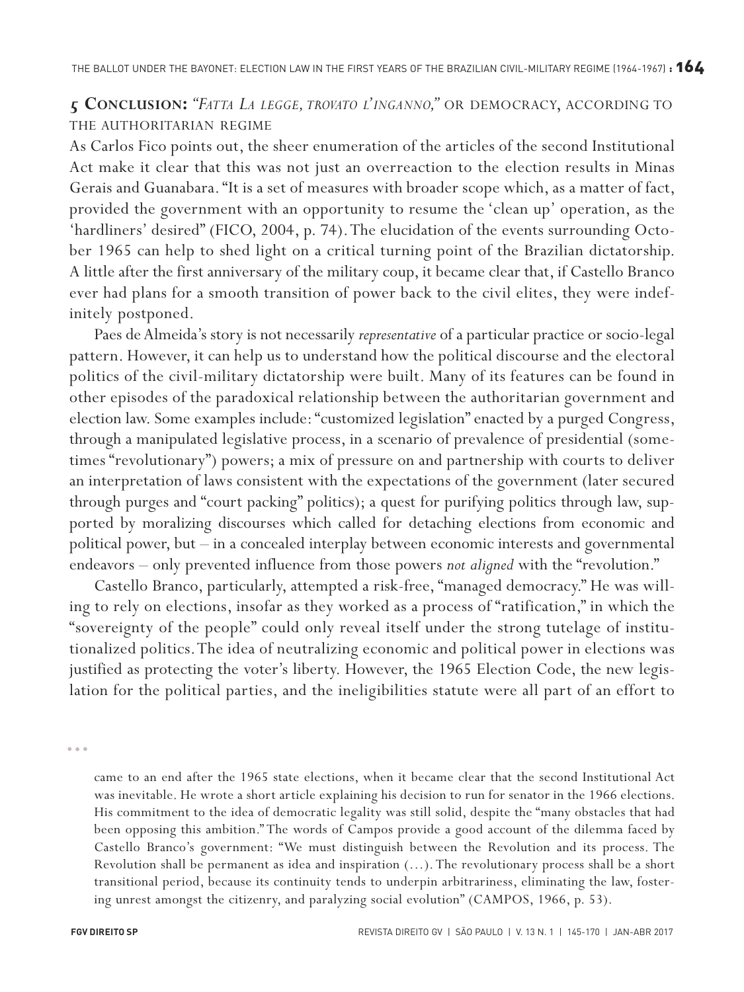# **5 CONCLUSION:** *"FATTA LA LEGGE, TROVATO L'INGANNO,"* OR DEMOCRACY, ACCORDING TO THE AUTHORITARIAN REGIME

As Carlos Fico points out, the sheer enumeration of the articles of the second Institutional Act make it clear that this was not just an overreaction to the election results in Minas Gerais and Guanabara."It is a set of measures with broader scope which, as a matter of fact, provided the government with an opportunity to resume the 'clean up' operation, as the 'hardliners' desired" (FICO, 2004, p. 74).The elucidation of the events surrounding October 1965 can help to shed light on a critical turning point of the Brazilian dictatorship. A little after the first anniversary of the military coup, it became clear that, if Castello Branco ever had plans for a smooth transition of power back to the civil elites, they were indefinitely postponed.

Paes deAlmeida's story is not necessarily *representative* of a particular practice or socio-legal pattern. However, it can help us to understand how the political discourse and the electoral politics of the civil-military dictatorship were built. Many of its features can be found in other episodes of the paradoxical relationship between the authoritarian government and election law. Some examples include:"customized legislation" enacted by a purged Congress, through a manipulated legislative process, in a scenario of prevalence of presidential (sometimes "revolutionary") powers; a mix of pressure on and partnership with courts to deliver an interpretation of laws consistent with the expectations of the government (later secured through purges and "court packing" politics); a quest for purifying politics through law, supported by moralizing discourses which called for detaching elections from economic and political power, but – in a concealed interplay between economic interests and governmental endeavors – only prevented influence from those powers *not aligned* with the "revolution."

Castello Branco, particularly, attempted a risk-free, "managed democracy." He was willing to rely on elections, insofar as they worked as a process of "ratification," in which the "sovereignty of the people" could only reveal itself under the strong tutelage of institutionalized politics.The idea of neutralizing economic and political power in elections was justified as protecting the voter's liberty. However, the 1965 Election Code, the new legislation for the political parties, and the ineligibilities statute were all part of an effort to

came to an end after the 1965 state elections, when it became clear that the second Institutional Act was inevitable. He wrote a short article explaining his decision to run for senator in the 1966 elections. His commitment to the idea of democratic legality was still solid, despite the "many obstacles that had been opposing this ambition." The words of Campos provide a good account of the dilemma faced by Castello Branco's government: "We must distinguish between the Revolution and its process. The Revolution shall be permanent as idea and inspiration (…).The revolutionary process shall be a short transitional period, because its continuity tends to underpin arbitrariness, eliminating the law, fostering unrest amongst the citizenry, and paralyzing social evolution" (CAMPOS, 1966, p. 53).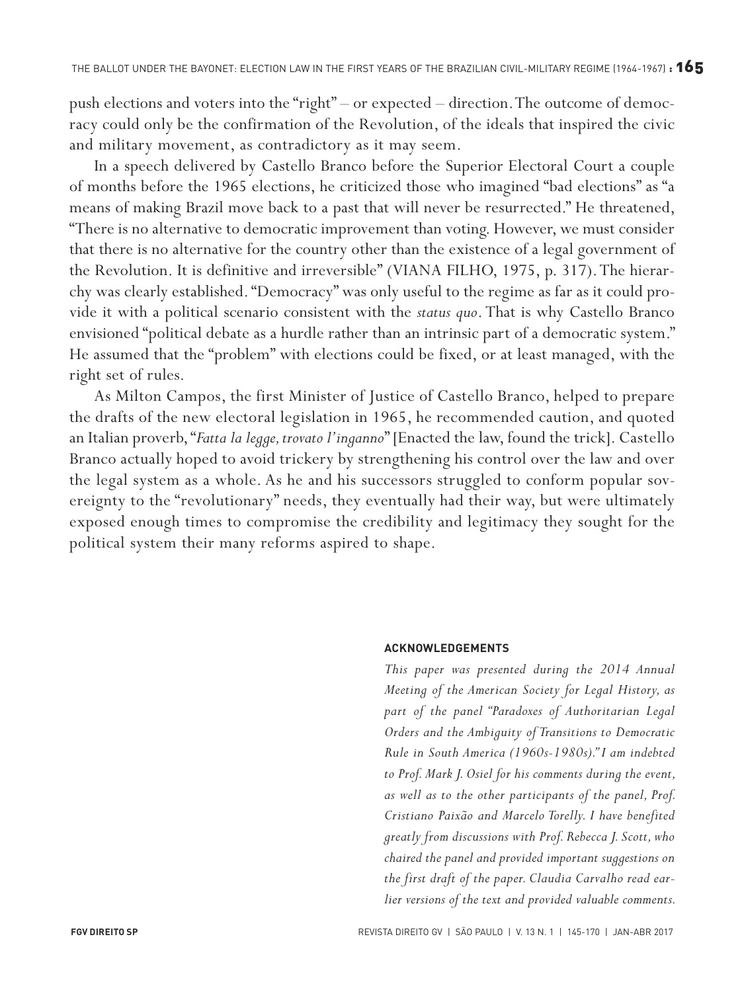push elections and voters into the "right" – or expected – direction.The outcome of democracy could only be the confirmation of the Revolution, of the ideals that inspired the civic and military movement, as contradictory as it may seem.

In a speech delivered by Castello Branco before the Superior Electoral Court a couple of months before the 1965 elections, he criticized those who imagined "bad elections" as "a means of making Brazil move back to a past that will never be resurrected." He threatened, "There is no alternative to democratic improvement than voting. However, we must consider that there is no alternative for the country other than the existence of a legal government of the Revolution. It is definitive and irreversible" (VIANA FILHO, 1975, p. 317).The hierarchy was clearly established."Democracy" was only useful to the regime as far as it could provide it with a political scenario consistent with the *status quo*. That is why Castello Branco envisioned "political debate as a hurdle rather than an intrinsic part of a democratic system." He assumed that the "problem" with elections could be fixed, or at least managed, with the right set of rules.

As Milton Campos, the first Minister of Justice of Castello Branco, helped to prepare the drafts of the new electoral legislation in 1965, he recommended caution, and quoted an Italian proverb, "Fatta la legge, trovato l'inganno" [Enacted the law, found the trick]. Castello Branco actually hoped to avoid trickery by strengthening his control over the law and over the legal system as a whole. As he and his successors struggled to conform popular sovereignty to the "revolutionary" needs, they eventually had their way, but were ultimately exposed enough times to compromise the credibility and legitimacy they sought for the political system their many reforms aspired to shape.

## **ACKNOWLEDGEMENTS**

*This paper was presented during the 2014 Annual Meeting of the American Society for Legal History, as part of the panel "Paradoxes of Authoritarian Legal Orders and the Ambiguity of Transitions to Democratic Rule in South America (1960s-1980s)." I am indebted to Prof.Mark J. Osiel for his comments during the event, as well as to the other participants of the panel, Prof. Cristiano Paixão and Marcelo Torelly. I have benefited greatly from discussions with Prof. Rebecca J. Scott, who chaired the panel and provided important suggestions on the first draft of the paper. Claudia Carvalho read earlier versions of the text and provided valuable comments.*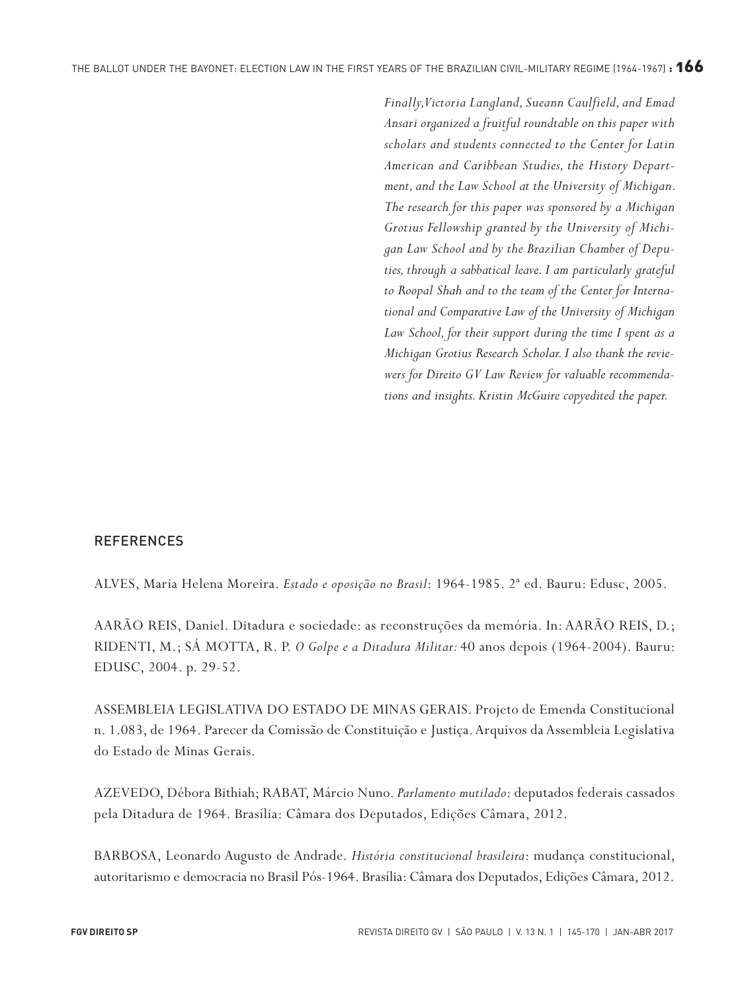*Finally,Victoria Langland, Sueann Caulfield,and Emad Ansari organized a fruitful roundtable on this paper with scholars and students connected to the Center for Latin American and Caribbean Studies, the History Department,and the Law School at the University of Michigan. The research for this paper was sponsored by a Michigan Grotius Fellowship granted by the University of Michigan Law School and by the Brazilian Chamber of Deputies, through a sabbatical leave. I am particularly grateful to Roopal Shah and to the team of the Center for International and Comparative Law of the University of Michigan Law School, for their support during the time I spent as a Michigan Grotius Research Scholar. I also thank the reviewers for Direito GV Law Review for valuable recommendations and insights. Kristin McGuire copyedited the paper.*

## **REFERENCES**

ALVES, Maria Helena Moreira. *Estado e oposição no Brasil*: 1964-1985. 2ª ed. Bauru: Edusc, 2005.

AARÃO REIS, Daniel. Ditadura e sociedade: as reconstruções da memória. In: AARÃO REIS, D.; RIDENTI, M.; SÁ MOTTA, R. P. *O Golpe e a Ditadura Militar:* 40 anos depois (1964-2004). Bauru: EDUSC, 2004. p. 29-52.

ASSEMBLEIA LEGISLATIVA DO ESTADO DE MINAS GERAIS. Projeto de Emenda Constitucional n. 1.083, de 1964. Parecer da Comissão de Constituição e Justiça.Arquivos da Assembleia Legislativa do Estado de Minas Gerais.

AZEVEDO, Débora Bithiah; RABAT, Márcio Nuno. *Parlamento mutilado*: deputados federais cassados pela Ditadura de 1964. Brasília: Câmara dos Deputados, Edições Câmara, 2012.

BARBOSA, Leonardo Augusto de Andrade. *História constitucional brasileira*: mudança constitucional, autoritarismo e democracia no Brasil Pós-1964. Brasília: Câmara dos Deputados, Edições Câmara, 2012.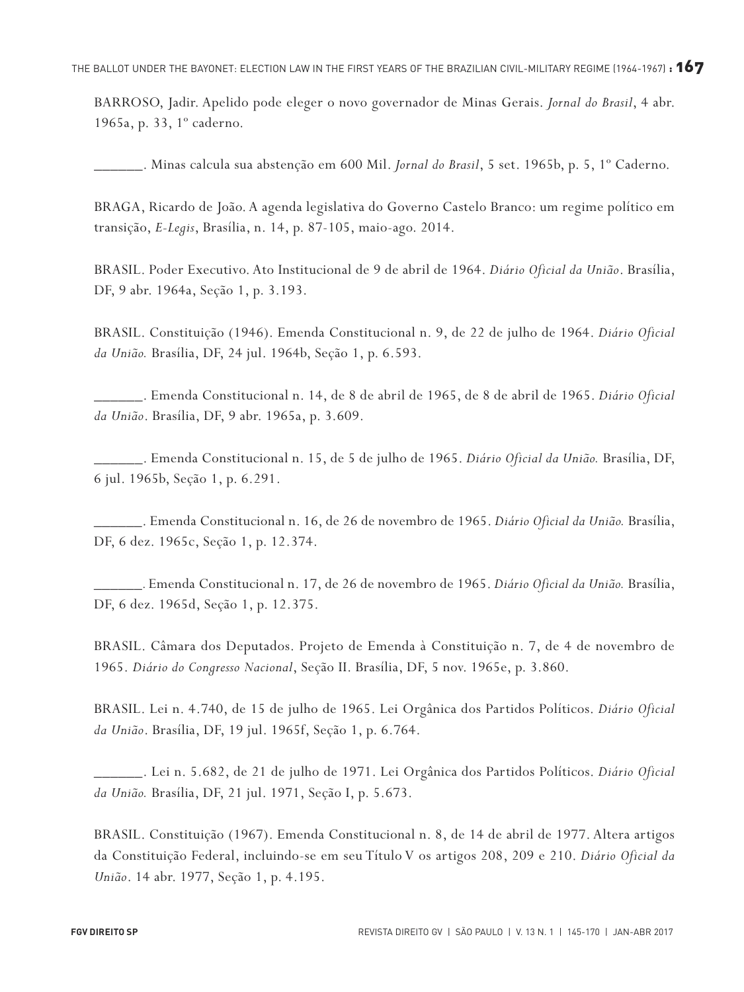BARROSO, Jadir. Apelido pode eleger o novo governador de Minas Gerais. *Jornal do Brasil*, 4 abr. 1965a, p. 33, 1º caderno.

\_\_\_\_\_\_. Minas calcula sua abstenção em 600 Mil. *Jornal do Brasil*, 5 set. 1965b, p. 5, 1º Caderno.

BRAGA, Ricardo de João.A agenda legislativa do Governo Castelo Branco: um regime político em transição, *E-Legis*, Brasília, n. 14, p. 87-105, maio-ago. 2014.

BRASIL. Poder Executivo. Ato Institucional de 9 de abril de 1964. *Diário Oficial da União*. Brasília, DF, 9 abr. 1964a, Seção 1, p. 3.193.

BRASIL. Constituição (1946). Emenda Constitucional n. 9, de 22 de julho de 1964. *Diário Oficial da União.* Brasília, DF, 24 jul. 1964b, Seção 1, p. 6.593.

\_\_\_\_\_\_. Emenda Constitucional n. 14, de 8 de abril de 1965, de 8 de abril de 1965. *Diário Oficial da União*. Brasília, DF, 9 abr. 1965a, p. 3.609.

\_\_\_\_\_\_. Emenda Constitucional n. 15, de 5 de julho de 1965. *Diário Oficial da União.* Brasília, DF, 6 jul. 1965b, Seção 1, p. 6.291.

\_\_\_\_\_\_. Emenda Constitucional n. 16, de 26 de novembro de 1965. *Diário Oficial da União.* Brasília, DF, 6 dez. 1965c, Seção 1, p. 12.374.

*\_\_\_\_\_\_.* Emenda Constitucional n. 17, de 26 de novembro de 1965. *Diário Oficial da União.* Brasília, DF, 6 dez. 1965d, Seção 1, p. 12.375.

BRASIL. Câmara dos Deputados. Projeto de Emenda à Constituição n. 7, de 4 de novembro de 1965. *Diário do Congresso Nacional*, Seção II. Brasília, DF, 5 nov. 1965e, p. 3.860.

BRASIL. Lei n. 4.740, de 15 de julho de 1965. Lei Orgânica dos Partidos Políticos. *Diário Oficial da União*. Brasília, DF, 19 jul. 1965f, Seção 1, p. 6.764.

\_\_\_\_\_\_. Lei n. 5.682, de 21 de julho de 1971. Lei Orgânica dos Partidos Políticos. *Diário Oficial da União.* Brasília, DF, 21 jul. 1971, Seção I, p. 5.673.

BRASIL. Constituição (1967). Emenda Constitucional n. 8, de 14 de abril de 1977. Altera artigos da Constituição Federal, incluindo-se em seu Título V os artigos 208, 209 e 210. *Diário Oficial da União*. 14 abr. 1977, Seção 1, p. 4.195.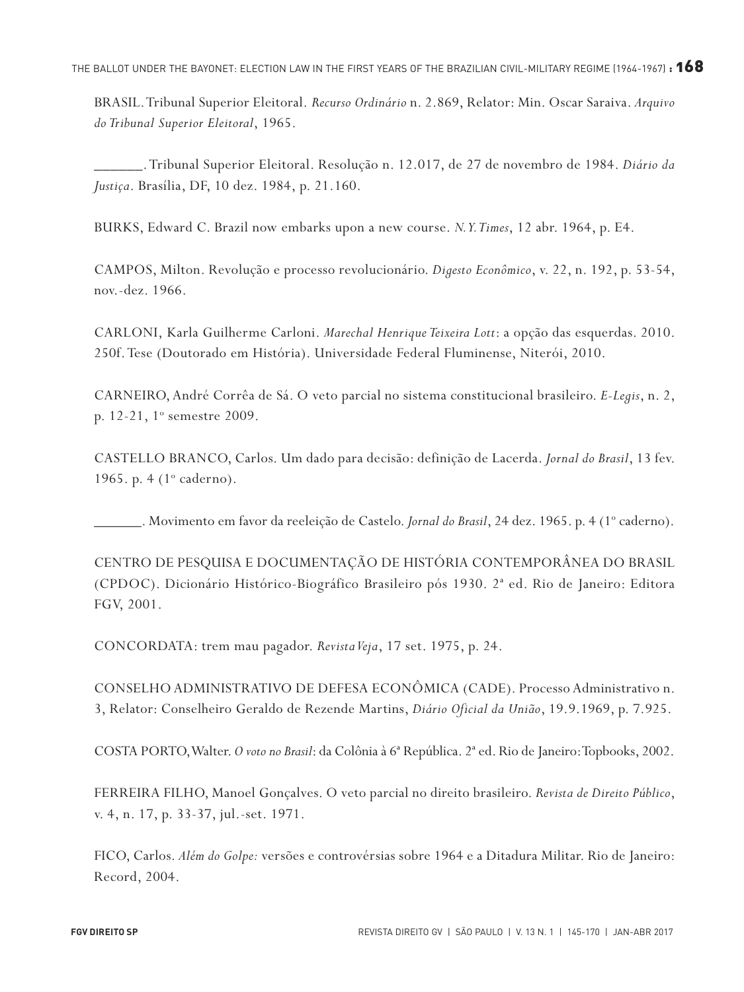BRASIL.Tribunal Superior Eleitoral. *Recurso Ordinário* n. 2.869, Relator: Min. Oscar Saraiva. *Arquivo do Tribunal Superior Eleitoral*, 1965.

\_\_\_\_\_\_.Tribunal Superior Eleitoral. Resolução n. 12.017, de 27 de novembro de 1984. *Diário da Justiça*. Brasília, DF, 10 dez. 1984, p. 21.160.

BURKS, Edward C. Brazil now embarks upon a new course. *N.Y.Times*, 12 abr. 1964, p. E4.

CAMPOS, Milton. Revolução e processo revolucionário. *Digesto Econômico*, v. 22, n. 192, p. 53-54, nov.-dez. 1966.

CARLONI, Karla Guilherme Carloni. *Marechal Henrique Teixeira Lott*: a opção das esquerdas. 2010. 250f.Tese (Doutorado em História). Universidade Federal Fluminense, Niterói, 2010.

CARNEIRO,André Corrêa de Sá. O veto parcial no sistema constitucional brasileiro. *E-Legis*, n. 2, p. 12-21, 1° semestre 2009.

CASTELLO BRANCO, Carlos. Um dado para decisão: definição de Lacerda. *Jornal do Brasil*, 13 fev. 1965. p. 4 (1<sup>o</sup> caderno).

\_\_\_\_\_\_. Movimento em favor da reeleição de Castelo. *Jornal do Brasil*, 24 dez. 1965. p. 4 (1o caderno).

CENTRO DE PESQUISA E DOCUMENTAÇÃO DE HISTÓRIA CONTEMPORÂNEA DO BRASIL (CPDOC). Dicionário Histórico-Biográfico Brasileiro pós 1930. 2ª ed. Rio de Janeiro: Editora FGV, 2001.

CONCORDATA: trem mau pagador. *RevistaVeja*, 17 set. 1975, p. 24.

CONSELHO ADMINISTRATIVO DE DEFESA ECONÔMICA (CADE). Processo Administrativo n. 3, Relator: Conselheiro Geraldo de Rezende Martins, *Diário Oficial da União*, 19.9.1969, p. 7.925.

COSTA PORTO,Walter. *O voto no Brasil*: da Colônia à 6ª República. 2ª ed. Rio de Janeiro:Topbooks, 2002.

FERREIRA FILHO, Manoel Gonçalves. O veto parcial no direito brasileiro. *Revista de Direito Público*, v. 4, n. 17, p. 33-37, jul.-set. 1971.

FICO, Carlos. *Além do Golpe:* versões e controvérsias sobre 1964 e a Ditadura Militar. Rio de Janeiro: Record, 2004.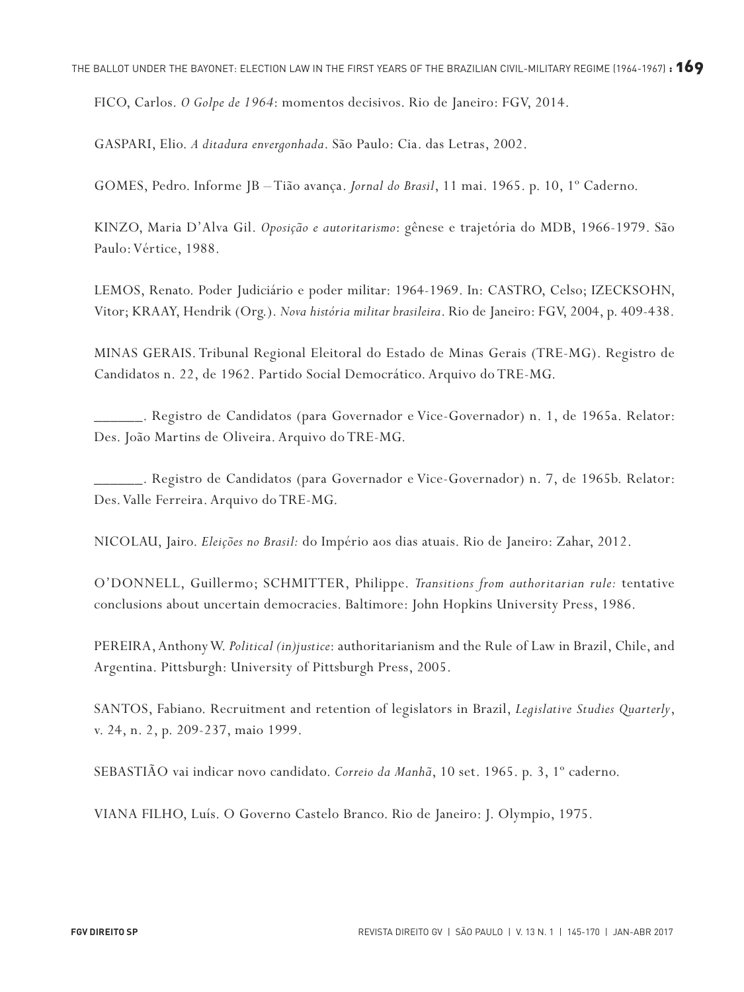FICO, Carlos. *O Golpe de 1964*: momentos decisivos. Rio de Janeiro: FGV, 2014.

GASPARI, Elio. *A ditadura envergonhada*. São Paulo: Cia. das Letras, 2002.

GOMES, Pedro. Informe JB – Tião avança. *Jornal do Brasil*, 11 mai. 1965. p. 10, 1º Caderno.

KINZO, Maria D'Alva Gil. *Oposição e autoritarismo*: gênese e trajetória do MDB, 1966-1979. São Paulo:Vértice, 1988.

LEMOS, Renato. Poder Judiciário e poder militar: 1964-1969. In: CASTRO, Celso; IZECKSOHN, Vitor; KRAAY, Hendrik (Org.). *Nova história militar brasileira*. Rio de Janeiro: FGV, 2004, p. 409-438.

MINAS GERAIS. Tribunal Regional Eleitoral do Estado de Minas Gerais (TRE-MG). Registro de Candidatos n. 22, de 1962. Partido Social Democrático. Arquivo do TRE-MG.

\_\_\_\_\_\_. Registro de Candidatos (para Governador e Vice-Governador) n. 1, de 1965a. Relator: Des. João Martins de Oliveira. Arquivo do TRE-MG.

\_\_\_\_\_\_. Registro de Candidatos (para Governador e Vice-Governador) n. 7, de 1965b. Relator: Des.Valle Ferreira. Arquivo do TRE-MG.

NICOLAU, Jairo. *Eleições no Brasil:* do Império aos dias atuais. Rio de Janeiro: Zahar, 2012.

O'DONNELL, Guillermo; SCHMITTER, Philippe. *Transitions from authoritarian rule:* tentative conclusions about uncertain democracies. Baltimore: John Hopkins University Press, 1986.

PEREIRA,AnthonyW. *Political (in)justice*: authoritarianism and the Rule of Law in Brazil, Chile, and Argentina. Pittsburgh: University of Pittsburgh Press, 2005.

SANTOS, Fabiano. Recruitment and retention of legislators in Brazil, *Legislative Studies Quarterly*, v. 24, n. 2, p. 209-237, maio 1999.

SEBASTIÃO vai indicar novo candidato. *Correio da Manhã*, 10 set. 1965. p. 3, 1º caderno.

VIANA FILHO, Luís. O Governo Castelo Branco. Rio de Janeiro: J. Olympio, 1975.